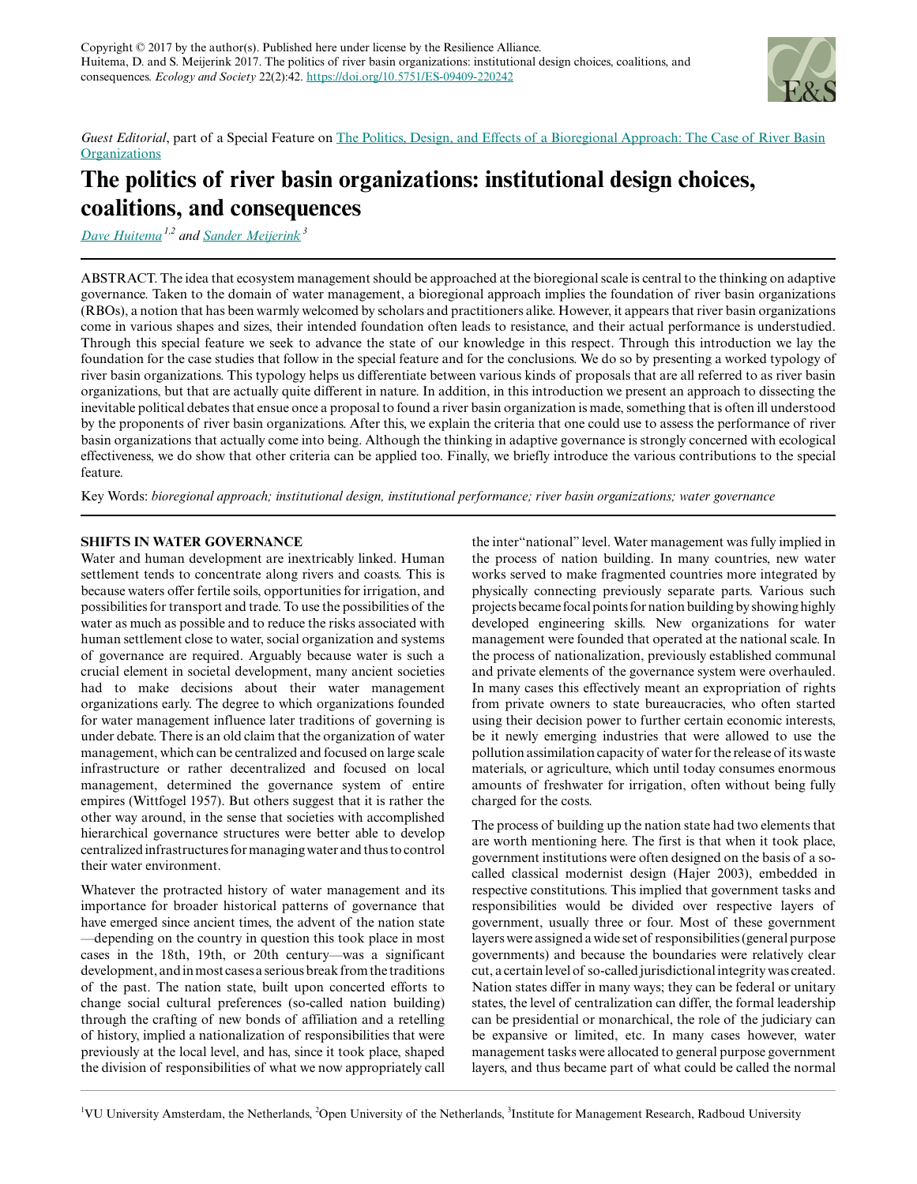

*Guest Editorial*, part of a Special Feature on [The Politics, Design, and Effects of a Bioregional Approach: The Case of River Basin](https://www.ecologyandsociety.org/viewissue.php?sf=116) **[Organizations](https://www.ecologyandsociety.org/viewissue.php?sf=116)** 

# **The politics of river basin organizations: institutional design choices, coalitions, and consequences**

*[Dave Huitema](mailto:dave.huitema@ivm.vu.nl) 1,2 and [Sander Meijerink](mailto:S.Meijerink@fm.ru.nl)<sup>3</sup>*

ABSTRACT. The idea that ecosystem management should be approached at the bioregional scale is central to the thinking on adaptive governance. Taken to the domain of water management, a bioregional approach implies the foundation of river basin organizations (RBOs), a notion that has been warmly welcomed by scholars and practitioners alike. However, it appears that river basin organizations come in various shapes and sizes, their intended foundation often leads to resistance, and their actual performance is understudied. Through this special feature we seek to advance the state of our knowledge in this respect. Through this introduction we lay the foundation for the case studies that follow in the special feature and for the conclusions. We do so by presenting a worked typology of river basin organizations. This typology helps us differentiate between various kinds of proposals that are all referred to as river basin organizations, but that are actually quite different in nature. In addition, in this introduction we present an approach to dissecting the inevitable political debates that ensue once a proposal to found a river basin organization is made, something that is often ill understood by the proponents of river basin organizations. After this, we explain the criteria that one could use to assess the performance of river basin organizations that actually come into being. Although the thinking in adaptive governance is strongly concerned with ecological effectiveness, we do show that other criteria can be applied too. Finally, we briefly introduce the various contributions to the special feature.

Key Words: *bioregional approach; institutional design, institutional performance; river basin organizations; water governance*

# **SHIFTS IN WATER GOVERNANCE**

Water and human development are inextricably linked. Human settlement tends to concentrate along rivers and coasts. This is because waters offer fertile soils, opportunities for irrigation, and possibilities for transport and trade. To use the possibilities of the water as much as possible and to reduce the risks associated with human settlement close to water, social organization and systems of governance are required. Arguably because water is such a crucial element in societal development, many ancient societies had to make decisions about their water management organizations early. The degree to which organizations founded for water management influence later traditions of governing is under debate. There is an old claim that the organization of water management, which can be centralized and focused on large scale infrastructure or rather decentralized and focused on local management, determined the governance system of entire empires (Wittfogel 1957). But others suggest that it is rather the other way around, in the sense that societies with accomplished hierarchical governance structures were better able to develop centralized infrastructures for managing water and thus to control their water environment.

Whatever the protracted history of water management and its importance for broader historical patterns of governance that have emerged since ancient times, the advent of the nation state —depending on the country in question this took place in most cases in the 18th, 19th, or 20th century—was a significant development, and in most cases a serious break from the traditions of the past. The nation state, built upon concerted efforts to change social cultural preferences (so-called nation building) through the crafting of new bonds of affiliation and a retelling of history, implied a nationalization of responsibilities that were previously at the local level, and has, since it took place, shaped the division of responsibilities of what we now appropriately call

the inter"national" level. Water management was fully implied in the process of nation building. In many countries, new water works served to make fragmented countries more integrated by physically connecting previously separate parts. Various such projects became focal points for nation building by showing highly developed engineering skills. New organizations for water management were founded that operated at the national scale. In the process of nationalization, previously established communal and private elements of the governance system were overhauled. In many cases this effectively meant an expropriation of rights from private owners to state bureaucracies, who often started using their decision power to further certain economic interests, be it newly emerging industries that were allowed to use the pollution assimilation capacity of water for the release of its waste materials, or agriculture, which until today consumes enormous amounts of freshwater for irrigation, often without being fully charged for the costs.

The process of building up the nation state had two elements that are worth mentioning here. The first is that when it took place, government institutions were often designed on the basis of a socalled classical modernist design (Hajer 2003), embedded in respective constitutions. This implied that government tasks and responsibilities would be divided over respective layers of government, usually three or four. Most of these government layers were assigned a wide set of responsibilities (general purpose governments) and because the boundaries were relatively clear cut, a certain level of so-called jurisdictional integrity was created. Nation states differ in many ways; they can be federal or unitary states, the level of centralization can differ, the formal leadership can be presidential or monarchical, the role of the judiciary can be expansive or limited, etc. In many cases however, water management tasks were allocated to general purpose government layers, and thus became part of what could be called the normal

<sup>1</sup>VU University Amsterdam, the Netherlands, <sup>2</sup>Open University of the Netherlands, <sup>3</sup>Institute for Management Research, Radboud University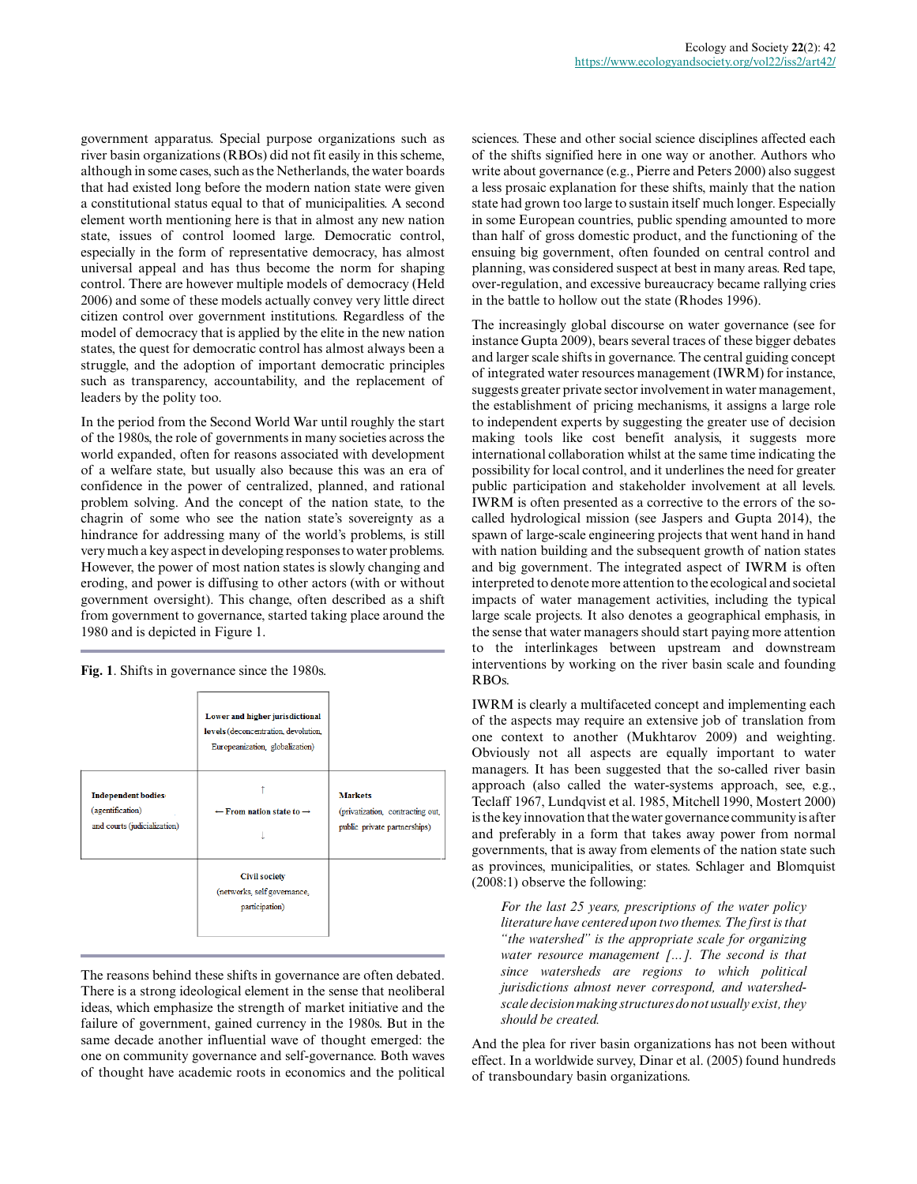government apparatus. Special purpose organizations such as river basin organizations (RBOs) did not fit easily in this scheme, although in some cases, such as the Netherlands, the water boards that had existed long before the modern nation state were given a constitutional status equal to that of municipalities. A second element worth mentioning here is that in almost any new nation state, issues of control loomed large. Democratic control, especially in the form of representative democracy, has almost universal appeal and has thus become the norm for shaping control. There are however multiple models of democracy (Held 2006) and some of these models actually convey very little direct citizen control over government institutions. Regardless of the model of democracy that is applied by the elite in the new nation states, the quest for democratic control has almost always been a struggle, and the adoption of important democratic principles such as transparency, accountability, and the replacement of leaders by the polity too.

In the period from the Second World War until roughly the start of the 1980s, the role of governments in many societies across the world expanded, often for reasons associated with development of a welfare state, but usually also because this was an era of confidence in the power of centralized, planned, and rational problem solving. And the concept of the nation state, to the chagrin of some who see the nation state's sovereignty as a hindrance for addressing many of the world's problems, is still very much a key aspect in developing responses to water problems. However, the power of most nation states is slowly changing and eroding, and power is diffusing to other actors (with or without government oversight). This change, often described as a shift from government to governance, started taking place around the 1980 and is depicted in Figure 1.

| Fig. 1. Shifts in governance since the 1980s. |  |  |  |  |  |
|-----------------------------------------------|--|--|--|--|--|
|-----------------------------------------------|--|--|--|--|--|

|                                                                               | Lower and higher jurisdictional<br>levels (deconcentration, devolution,<br>Europeanization, globalization) |                                                                                    |
|-------------------------------------------------------------------------------|------------------------------------------------------------------------------------------------------------|------------------------------------------------------------------------------------|
| <b>Independent bodies</b><br>(agentification)<br>and courts (judicialization) | $\leftarrow$ From nation state to $\rightarrow$                                                            | <b>Markets</b><br>(privatization, contracting out,<br>public private partnerships) |
|                                                                               | <b>Civil society</b><br>(networks, self governance,<br>participation)                                      |                                                                                    |

The reasons behind these shifts in governance are often debated. There is a strong ideological element in the sense that neoliberal ideas, which emphasize the strength of market initiative and the failure of government, gained currency in the 1980s. But in the same decade another influential wave of thought emerged: the one on community governance and self-governance. Both waves of thought have academic roots in economics and the political

sciences. These and other social science disciplines affected each of the shifts signified here in one way or another. Authors who write about governance (e.g., Pierre and Peters 2000) also suggest a less prosaic explanation for these shifts, mainly that the nation state had grown too large to sustain itself much longer. Especially in some European countries, public spending amounted to more than half of gross domestic product, and the functioning of the ensuing big government, often founded on central control and planning, was considered suspect at best in many areas. Red tape, over-regulation, and excessive bureaucracy became rallying cries in the battle to hollow out the state (Rhodes 1996).

The increasingly global discourse on water governance (see for instance Gupta 2009), bears several traces of these bigger debates and larger scale shifts in governance. The central guiding concept of integrated water resources management (IWRM) for instance, suggests greater private sector involvement in water management, the establishment of pricing mechanisms, it assigns a large role to independent experts by suggesting the greater use of decision making tools like cost benefit analysis, it suggests more international collaboration whilst at the same time indicating the possibility for local control, and it underlines the need for greater public participation and stakeholder involvement at all levels. IWRM is often presented as a corrective to the errors of the socalled hydrological mission (see Jaspers and Gupta 2014), the spawn of large-scale engineering projects that went hand in hand with nation building and the subsequent growth of nation states and big government. The integrated aspect of IWRM is often interpreted to denote more attention to the ecological and societal impacts of water management activities, including the typical large scale projects. It also denotes a geographical emphasis, in the sense that water managers should start paying more attention to the interlinkages between upstream and downstream interventions by working on the river basin scale and founding RBOs.

IWRM is clearly a multifaceted concept and implementing each of the aspects may require an extensive job of translation from one context to another (Mukhtarov 2009) and weighting. Obviously not all aspects are equally important to water managers. It has been suggested that the so-called river basin approach (also called the water-systems approach, see, e.g., Teclaff 1967, Lundqvist et al. 1985, Mitchell 1990, Mostert 2000) is the key innovation that the water governance community is after and preferably in a form that takes away power from normal governments, that is away from elements of the nation state such as provinces, municipalities, or states. Schlager and Blomquist (2008:1) observe the following:

*For the last 25 years, prescriptions of the water policy literature have centered upon two themes. The first is that "the watershed" is the appropriate scale for organizing water resource management [...]. The second is that since watersheds are regions to which political jurisdictions almost never correspond, and watershedscale decision making structures do not usually exist, they should be created.*

And the plea for river basin organizations has not been without effect. In a worldwide survey, Dinar et al. (2005) found hundreds of transboundary basin organizations.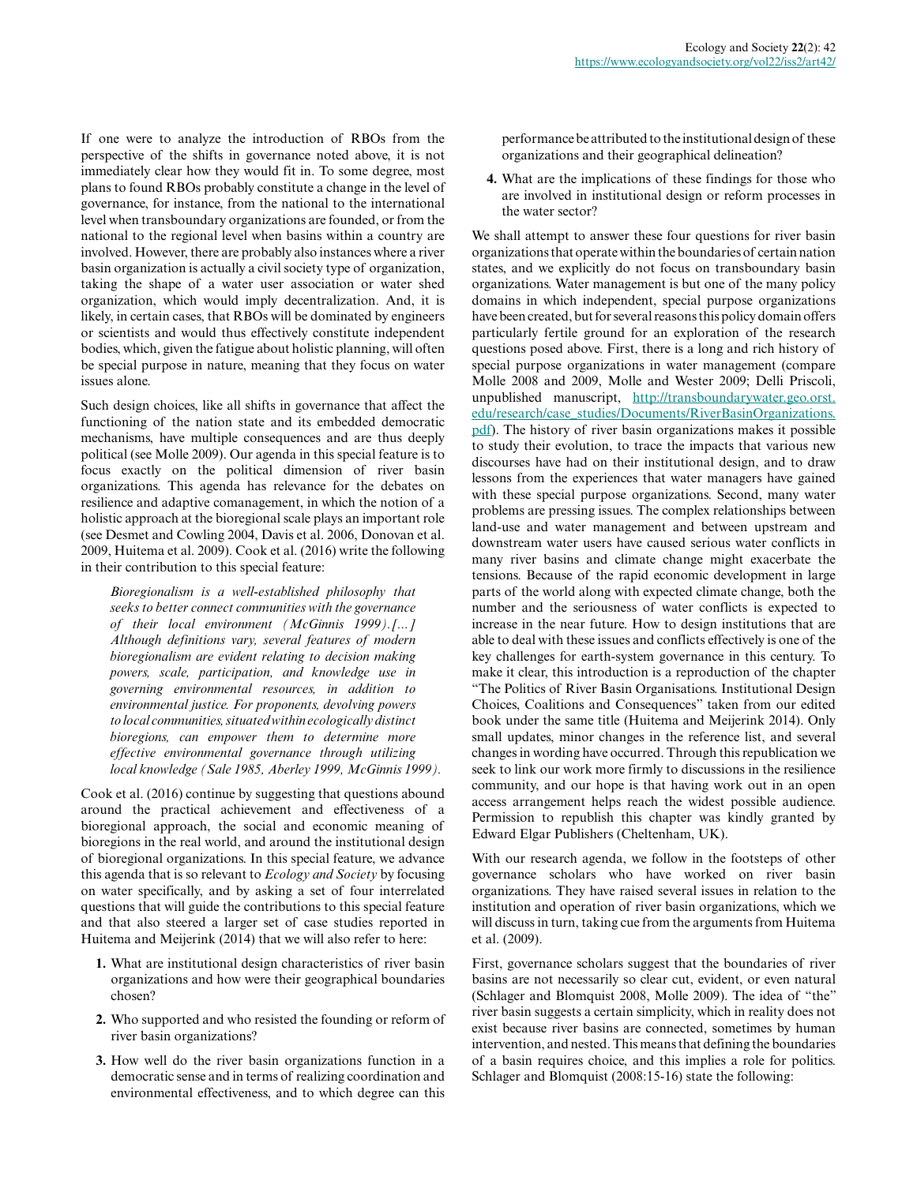If one were to analyze the introduction of RBOs from the perspective of the shifts in governance noted above, it is not immediately clear how they would fit in. To some degree, most plans to found RBOs probably constitute a change in the level of governance, for instance, from the national to the international level when transboundary organizations are founded, or from the national to the regional level when basins within a country are involved. However, there are probably also instances where a river basin organization is actually a civil society type of organization, taking the shape of a water user association or water shed organization, which would imply decentralization. And, it is likely, in certain cases, that RBOs will be dominated by engineers or scientists and would thus effectively constitute independent bodies, which, given the fatigue about holistic planning, will often be special purpose in nature, meaning that they focus on water issues alone.

Such design choices, like all shifts in governance that affect the functioning of the nation state and its embedded democratic mechanisms, have multiple consequences and are thus deeply political (see Molle 2009). Our agenda in this special feature is to focus exactly on the political dimension of river basin organizations. This agenda has relevance for the debates on resilience and adaptive comanagement, in which the notion of a holistic approach at the bioregional scale plays an important role (see Desmet and Cowling 2004, Davis et al. 2006, Donovan et al. 2009, Huitema et al. 2009). Cook et al. (2016) write the following in their contribution to this special feature:

*Bioregionalism is a well-established philosophy that seeks to better connect communities with the governance of their local environment (McGinnis 1999).[...] Although definitions vary, several features of modern bioregionalism are evident relating to decision making powers, scale, participation, and knowledge use in governing environmental resources, in addition to environmental justice. For proponents, devolving powers to local communities, situated within ecologically distinct bioregions, can empower them to determine more effective environmental governance through utilizing local knowledge (Sale 1985, Aberley 1999, McGinnis 1999).*

Cook et al. (2016) continue by suggesting that questions abound around the practical achievement and effectiveness of a bioregional approach, the social and economic meaning of bioregions in the real world, and around the institutional design of bioregional organizations. In this special feature, we advance this agenda that is so relevant to *Ecology and Society* by focusing on water specifically, and by asking a set of four interrelated questions that will guide the contributions to this special feature and that also steered a larger set of case studies reported in Huitema and Meijerink (2014) that we will also refer to here:

- **1.** What are institutional design characteristics of river basin organizations and how were their geographical boundaries chosen?
- **2.** Who supported and who resisted the founding or reform of river basin organizations?
- **3.** How well do the river basin organizations function in a democratic sense and in terms of realizing coordination and environmental effectiveness, and to which degree can this

performance be attributed to the institutional design of these organizations and their geographical delineation?

**4.** What are the implications of these findings for those who are involved in institutional design or reform processes in the water sector?

We shall attempt to answer these four questions for river basin organizations that operate within the boundaries of certain nation states, and we explicitly do not focus on transboundary basin organizations. Water management is but one of the many policy domains in which independent, special purpose organizations have been created, but for several reasons this policy domain offers particularly fertile ground for an exploration of the research questions posed above. First, there is a long and rich history of special purpose organizations in water management (compare Molle 2008 and 2009, Molle and Wester 2009; Delli Priscoli, unpublished manuscript, [http://transboundarywater.geo.orst.](http://transboundarywater.geo.orst.edu/research/case_studies/Documents/RiverBasinOrganizations.pdf) [edu/research/case\\_studies/Documents/RiverBasinOrganizations.](http://transboundarywater.geo.orst.edu/research/case_studies/Documents/RiverBasinOrganizations.pdf) [pdf\)](http://transboundarywater.geo.orst.edu/research/case_studies/Documents/RiverBasinOrganizations.pdf). The history of river basin organizations makes it possible to study their evolution, to trace the impacts that various new discourses have had on their institutional design, and to draw lessons from the experiences that water managers have gained with these special purpose organizations. Second, many water problems are pressing issues. The complex relationships between land-use and water management and between upstream and downstream water users have caused serious water conflicts in many river basins and climate change might exacerbate the tensions. Because of the rapid economic development in large parts of the world along with expected climate change, both the number and the seriousness of water conflicts is expected to increase in the near future. How to design institutions that are able to deal with these issues and conflicts effectively is one of the key challenges for earth-system governance in this century. To make it clear, this introduction is a reproduction of the chapter "The Politics of River Basin Organisations. Institutional Design Choices, Coalitions and Consequences" taken from our edited book under the same title (Huitema and Meijerink 2014). Only small updates, minor changes in the reference list, and several changes in wording have occurred. Through this republication we seek to link our work more firmly to discussions in the resilience community, and our hope is that having work out in an open access arrangement helps reach the widest possible audience. Permission to republish this chapter was kindly granted by Edward Elgar Publishers (Cheltenham, UK).

With our research agenda, we follow in the footsteps of other governance scholars who have worked on river basin organizations. They have raised several issues in relation to the institution and operation of river basin organizations, which we will discuss in turn, taking cue from the arguments from Huitema et al. (2009).

First, governance scholars suggest that the boundaries of river basins are not necessarily so clear cut, evident, or even natural (Schlager and Blomquist 2008, Molle 2009). The idea of "the" river basin suggests a certain simplicity, which in reality does not exist because river basins are connected, sometimes by human intervention, and nested. This means that defining the boundaries of a basin requires choice, and this implies a role for politics. Schlager and Blomquist (2008:15-16) state the following: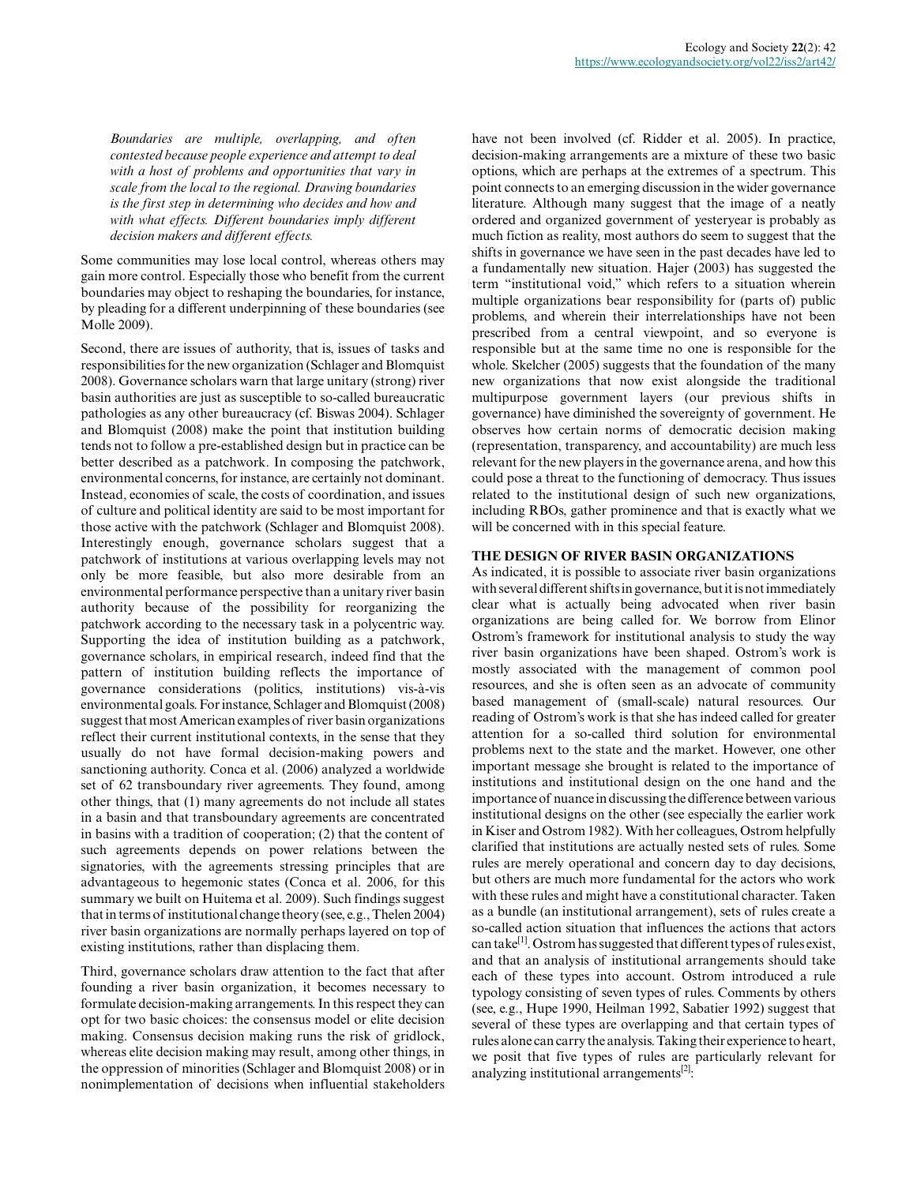*Boundaries are multiple, overlapping, and often contested because people experience and attempt to deal with a host of problems and opportunities that vary in scale from the local to the regional. Drawing boundaries is the first step in determining who decides and how and with what effects. Different boundaries imply different decision makers and different effects.*

Some communities may lose local control, whereas others may gain more control. Especially those who benefit from the current boundaries may object to reshaping the boundaries, for instance, by pleading for a different underpinning of these boundaries (see Molle 2009).

Second, there are issues of authority, that is, issues of tasks and responsibilities for the new organization (Schlager and Blomquist 2008). Governance scholars warn that large unitary (strong) river basin authorities are just as susceptible to so-called bureaucratic pathologies as any other bureaucracy (cf. Biswas 2004). Schlager and Blomquist (2008) make the point that institution building tends not to follow a pre-established design but in practice can be better described as a patchwork. In composing the patchwork, environmental concerns, for instance, are certainly not dominant. Instead, economies of scale, the costs of coordination, and issues of culture and political identity are said to be most important for those active with the patchwork (Schlager and Blomquist 2008). Interestingly enough, governance scholars suggest that a patchwork of institutions at various overlapping levels may not only be more feasible, but also more desirable from an environmental performance perspective than a unitary river basin authority because of the possibility for reorganizing the patchwork according to the necessary task in a polycentric way. Supporting the idea of institution building as a patchwork, governance scholars, in empirical research, indeed find that the pattern of institution building reflects the importance of governance considerations (politics, institutions) vis-à-vis environmental goals. For instance, Schlager and Blomquist (2008) suggest that most American examples of river basin organizations reflect their current institutional contexts, in the sense that they usually do not have formal decision-making powers and sanctioning authority. Conca et al. (2006) analyzed a worldwide set of 62 transboundary river agreements. They found, among other things, that (1) many agreements do not include all states in a basin and that transboundary agreements are concentrated in basins with a tradition of cooperation; (2) that the content of such agreements depends on power relations between the signatories, with the agreements stressing principles that are advantageous to hegemonic states (Conca et al. 2006, for this summary we built on Huitema et al. 2009). Such findings suggest that in terms of institutional change theory (see, e.g., Thelen 2004) river basin organizations are normally perhaps layered on top of existing institutions, rather than displacing them.

Third, governance scholars draw attention to the fact that after founding a river basin organization, it becomes necessary to formulate decision-making arrangements. In this respect they can opt for two basic choices: the consensus model or elite decision making. Consensus decision making runs the risk of gridlock, whereas elite decision making may result, among other things, in the oppression of minorities (Schlager and Blomquist 2008) or in nonimplementation of decisions when influential stakeholders

have not been involved (cf. Ridder et al. 2005). In practice, decision-making arrangements are a mixture of these two basic options, which are perhaps at the extremes of a spectrum. This point connects to an emerging discussion in the wider governance literature. Although many suggest that the image of a neatly ordered and organized government of yesteryear is probably as much fiction as reality, most authors do seem to suggest that the shifts in governance we have seen in the past decades have led to a fundamentally new situation. Hajer (2003) has suggested the term "institutional void," which refers to a situation wherein multiple organizations bear responsibility for (parts of) public problems, and wherein their interrelationships have not been prescribed from a central viewpoint, and so everyone is responsible but at the same time no one is responsible for the whole. Skelcher (2005) suggests that the foundation of the many new organizations that now exist alongside the traditional multipurpose government layers (our previous shifts in governance) have diminished the sovereignty of government. He observes how certain norms of democratic decision making (representation, transparency, and accountability) are much less relevant for the new players in the governance arena, and how this could pose a threat to the functioning of democracy. Thus issues related to the institutional design of such new organizations, including RBOs, gather prominence and that is exactly what we will be concerned with in this special feature.

### **THE DESIGN OF RIVER BASIN ORGANIZATIONS**

As indicated, it is possible to associate river basin organizations with several different shifts in governance, but it is not immediately clear what is actually being advocated when river basin organizations are being called for. We borrow from Elinor Ostrom's framework for institutional analysis to study the way river basin organizations have been shaped. Ostrom's work is mostly associated with the management of common pool resources, and she is often seen as an advocate of community based management of (small-scale) natural resources. Our reading of Ostrom's work is that she has indeed called for greater attention for a so-called third solution for environmental problems next to the state and the market. However, one other important message she brought is related to the importance of institutions and institutional design on the one hand and the importance of nuance in discussing the difference between various institutional designs on the other (see especially the earlier work in Kiser and Ostrom 1982). With her colleagues, Ostrom helpfully clarified that institutions are actually nested sets of rules. Some rules are merely operational and concern day to day decisions, but others are much more fundamental for the actors who work with these rules and might have a constitutional character. Taken as a bundle (an institutional arrangement), sets of rules create a so-called action situation that influences the actions that actors can take<sup>[1]</sup>. Ostrom has suggested that different types of rules exist, and that an analysis of institutional arrangements should take each of these types into account. Ostrom introduced a rule typology consisting of seven types of rules. Comments by others (see, e.g., Hupe 1990, Heilman 1992, Sabatier 1992) suggest that several of these types are overlapping and that certain types of rules alone can carry the analysis. Taking their experience to heart, we posit that five types of rules are particularly relevant for analyzing institutional arrangements $^{[2]}$ :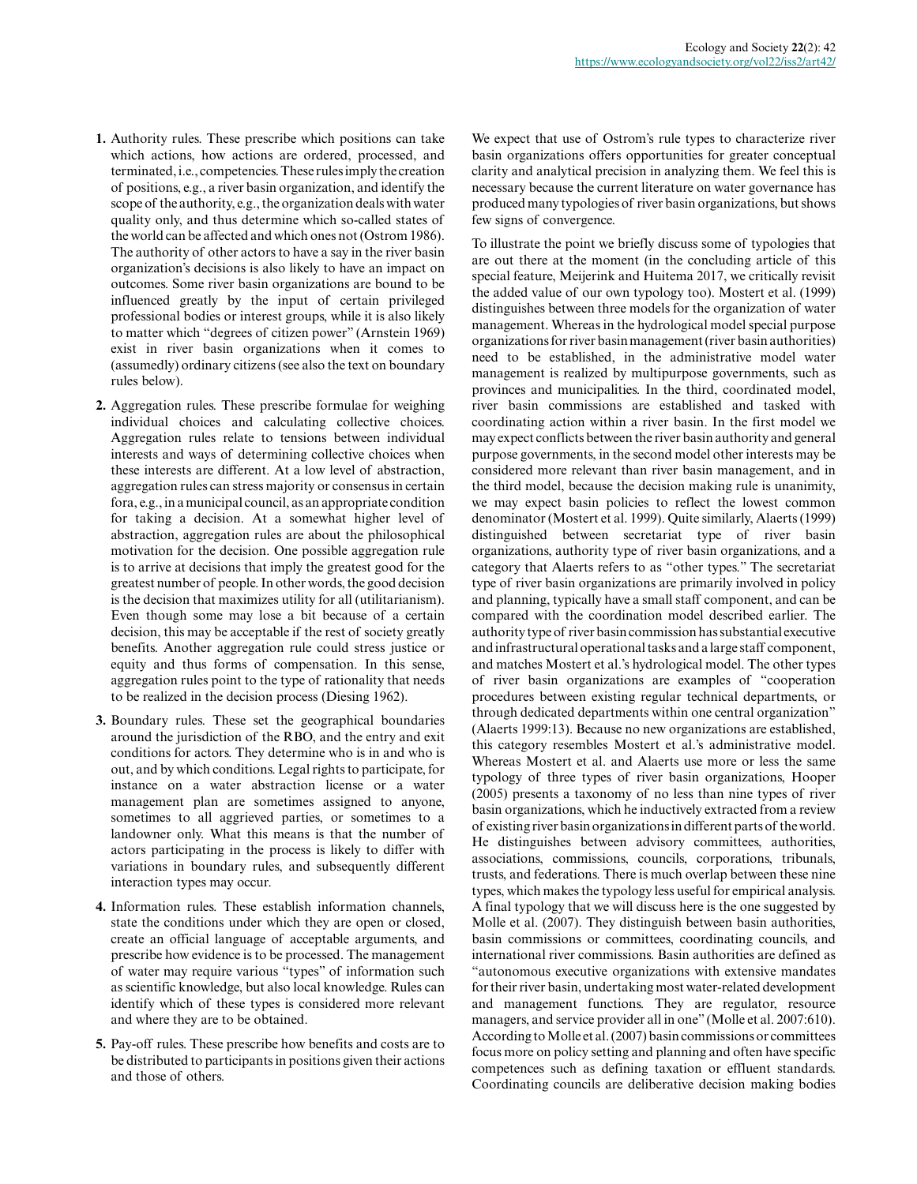- **1.** Authority rules. These prescribe which positions can take which actions, how actions are ordered, processed, and terminated, i.e., competencies. These rules imply the creation of positions, e.g., a river basin organization, and identify the scope of the authority, e.g., the organization deals with water quality only, and thus determine which so-called states of the world can be affected and which ones not (Ostrom 1986). The authority of other actors to have a say in the river basin organization's decisions is also likely to have an impact on outcomes. Some river basin organizations are bound to be influenced greatly by the input of certain privileged professional bodies or interest groups, while it is also likely to matter which "degrees of citizen power" (Arnstein 1969) exist in river basin organizations when it comes to (assumedly) ordinary citizens (see also the text on boundary rules below).
- **2.** Aggregation rules. These prescribe formulae for weighing individual choices and calculating collective choices. Aggregation rules relate to tensions between individual interests and ways of determining collective choices when these interests are different. At a low level of abstraction, aggregation rules can stress majority or consensus in certain fora, e.g., in a municipal council, as an appropriate condition for taking a decision. At a somewhat higher level of abstraction, aggregation rules are about the philosophical motivation for the decision. One possible aggregation rule is to arrive at decisions that imply the greatest good for the greatest number of people. In other words, the good decision is the decision that maximizes utility for all (utilitarianism). Even though some may lose a bit because of a certain decision, this may be acceptable if the rest of society greatly benefits. Another aggregation rule could stress justice or equity and thus forms of compensation. In this sense, aggregation rules point to the type of rationality that needs to be realized in the decision process (Diesing 1962).
- **3.** Boundary rules. These set the geographical boundaries around the jurisdiction of the RBO, and the entry and exit conditions for actors. They determine who is in and who is out, and by which conditions. Legal rights to participate, for instance on a water abstraction license or a water management plan are sometimes assigned to anyone, sometimes to all aggrieved parties, or sometimes to a landowner only. What this means is that the number of actors participating in the process is likely to differ with variations in boundary rules, and subsequently different interaction types may occur.
- **4.** Information rules. These establish information channels, state the conditions under which they are open or closed, create an official language of acceptable arguments, and prescribe how evidence is to be processed. The management of water may require various "types" of information such as scientific knowledge, but also local knowledge. Rules can identify which of these types is considered more relevant and where they are to be obtained.
- **5.** Pay-off rules. These prescribe how benefits and costs are to be distributed to participants in positions given their actions and those of others.

We expect that use of Ostrom's rule types to characterize river basin organizations offers opportunities for greater conceptual clarity and analytical precision in analyzing them. We feel this is necessary because the current literature on water governance has produced many typologies of river basin organizations, but shows few signs of convergence.

To illustrate the point we briefly discuss some of typologies that are out there at the moment (in the concluding article of this special feature, Meijerink and Huitema 2017, we critically revisit the added value of our own typology too). Mostert et al. (1999) distinguishes between three models for the organization of water management. Whereas in the hydrological model special purpose organizations for river basin management (river basin authorities) need to be established, in the administrative model water management is realized by multipurpose governments, such as provinces and municipalities. In the third, coordinated model, river basin commissions are established and tasked with coordinating action within a river basin. In the first model we may expect conflicts between the river basin authority and general purpose governments, in the second model other interests may be considered more relevant than river basin management, and in the third model, because the decision making rule is unanimity, we may expect basin policies to reflect the lowest common denominator (Mostert et al. 1999). Quite similarly, Alaerts (1999) distinguished between secretariat type of river basin organizations, authority type of river basin organizations, and a category that Alaerts refers to as "other types." The secretariat type of river basin organizations are primarily involved in policy and planning, typically have a small staff component, and can be compared with the coordination model described earlier. The authority type of river basin commission has substantial executive and infrastructural operational tasks and a large staff component, and matches Mostert et al.'s hydrological model. The other types of river basin organizations are examples of "cooperation procedures between existing regular technical departments, or through dedicated departments within one central organization" (Alaerts 1999:13). Because no new organizations are established, this category resembles Mostert et al.'s administrative model. Whereas Mostert et al. and Alaerts use more or less the same typology of three types of river basin organizations, Hooper (2005) presents a taxonomy of no less than nine types of river basin organizations, which he inductively extracted from a review of existing river basin organizations in different parts of the world. He distinguishes between advisory committees, authorities, associations, commissions, councils, corporations, tribunals, trusts, and federations. There is much overlap between these nine types, which makes the typology less useful for empirical analysis. A final typology that we will discuss here is the one suggested by Molle et al. (2007). They distinguish between basin authorities, basin commissions or committees, coordinating councils, and international river commissions. Basin authorities are defined as "autonomous executive organizations with extensive mandates for their river basin, undertaking most water-related development and management functions. They are regulator, resource managers, and service provider all in one" (Molle et al. 2007:610). According to Molle et al. (2007) basin commissions or committees focus more on policy setting and planning and often have specific competences such as defining taxation or effluent standards. Coordinating councils are deliberative decision making bodies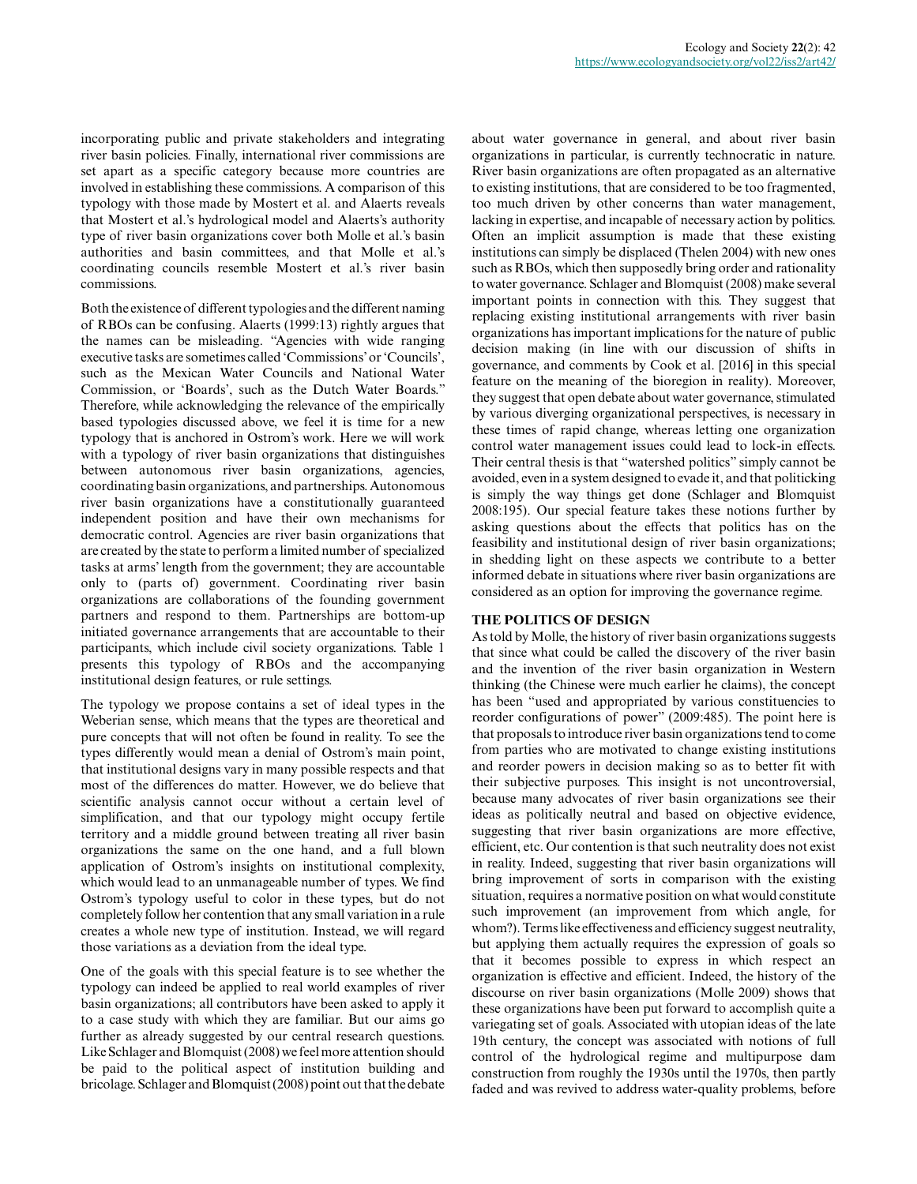incorporating public and private stakeholders and integrating river basin policies. Finally, international river commissions are set apart as a specific category because more countries are involved in establishing these commissions. A comparison of this typology with those made by Mostert et al. and Alaerts reveals that Mostert et al.'s hydrological model and Alaerts's authority type of river basin organizations cover both Molle et al.'s basin authorities and basin committees, and that Molle et al.'s coordinating councils resemble Mostert et al.'s river basin commissions.

Both the existence of different typologies and the different naming of RBOs can be confusing. Alaerts (1999:13) rightly argues that the names can be misleading. "Agencies with wide ranging executive tasks are sometimes called 'Commissions' or 'Councils', such as the Mexican Water Councils and National Water Commission, or 'Boards', such as the Dutch Water Boards." Therefore, while acknowledging the relevance of the empirically based typologies discussed above, we feel it is time for a new typology that is anchored in Ostrom's work. Here we will work with a typology of river basin organizations that distinguishes between autonomous river basin organizations, agencies, coordinating basin organizations, and partnerships. Autonomous river basin organizations have a constitutionally guaranteed independent position and have their own mechanisms for democratic control. Agencies are river basin organizations that are created by the state to perform a limited number of specialized tasks at arms' length from the government; they are accountable only to (parts of) government. Coordinating river basin organizations are collaborations of the founding government partners and respond to them. Partnerships are bottom-up initiated governance arrangements that are accountable to their participants, which include civil society organizations. Table 1 presents this typology of RBOs and the accompanying institutional design features, or rule settings.

The typology we propose contains a set of ideal types in the Weberian sense, which means that the types are theoretical and pure concepts that will not often be found in reality. To see the types differently would mean a denial of Ostrom's main point, that institutional designs vary in many possible respects and that most of the differences do matter. However, we do believe that scientific analysis cannot occur without a certain level of simplification, and that our typology might occupy fertile territory and a middle ground between treating all river basin organizations the same on the one hand, and a full blown application of Ostrom's insights on institutional complexity, which would lead to an unmanageable number of types. We find Ostrom's typology useful to color in these types, but do not completely follow her contention that any small variation in a rule creates a whole new type of institution. Instead, we will regard those variations as a deviation from the ideal type.

One of the goals with this special feature is to see whether the typology can indeed be applied to real world examples of river basin organizations; all contributors have been asked to apply it to a case study with which they are familiar. But our aims go further as already suggested by our central research questions. Like Schlager and Blomquist (2008) we feel more attention should be paid to the political aspect of institution building and bricolage. Schlager and Blomquist (2008) point out that the debate

about water governance in general, and about river basin organizations in particular, is currently technocratic in nature. River basin organizations are often propagated as an alternative to existing institutions, that are considered to be too fragmented, too much driven by other concerns than water management, lacking in expertise, and incapable of necessary action by politics. Often an implicit assumption is made that these existing institutions can simply be displaced (Thelen 2004) with new ones such as RBOs, which then supposedly bring order and rationality to water governance. Schlager and Blomquist (2008) make several important points in connection with this. They suggest that replacing existing institutional arrangements with river basin organizations has important implications for the nature of public decision making (in line with our discussion of shifts in governance, and comments by Cook et al. [2016] in this special feature on the meaning of the bioregion in reality). Moreover, they suggest that open debate about water governance, stimulated by various diverging organizational perspectives, is necessary in these times of rapid change, whereas letting one organization control water management issues could lead to lock-in effects. Their central thesis is that "watershed politics" simply cannot be avoided, even in a system designed to evade it, and that politicking is simply the way things get done (Schlager and Blomquist 2008:195). Our special feature takes these notions further by asking questions about the effects that politics has on the feasibility and institutional design of river basin organizations; in shedding light on these aspects we contribute to a better informed debate in situations where river basin organizations are considered as an option for improving the governance regime.

# **THE POLITICS OF DESIGN**

As told by Molle, the history of river basin organizations suggests that since what could be called the discovery of the river basin and the invention of the river basin organization in Western thinking (the Chinese were much earlier he claims), the concept has been "used and appropriated by various constituencies to reorder configurations of power" (2009:485). The point here is that proposals to introduce river basin organizations tend to come from parties who are motivated to change existing institutions and reorder powers in decision making so as to better fit with their subjective purposes. This insight is not uncontroversial, because many advocates of river basin organizations see their ideas as politically neutral and based on objective evidence, suggesting that river basin organizations are more effective, efficient, etc. Our contention is that such neutrality does not exist in reality. Indeed, suggesting that river basin organizations will bring improvement of sorts in comparison with the existing situation, requires a normative position on what would constitute such improvement (an improvement from which angle, for whom?). Terms like effectiveness and efficiency suggest neutrality, but applying them actually requires the expression of goals so that it becomes possible to express in which respect an organization is effective and efficient. Indeed, the history of the discourse on river basin organizations (Molle 2009) shows that these organizations have been put forward to accomplish quite a variegating set of goals. Associated with utopian ideas of the late 19th century, the concept was associated with notions of full control of the hydrological regime and multipurpose dam construction from roughly the 1930s until the 1970s, then partly faded and was revived to address water-quality problems, before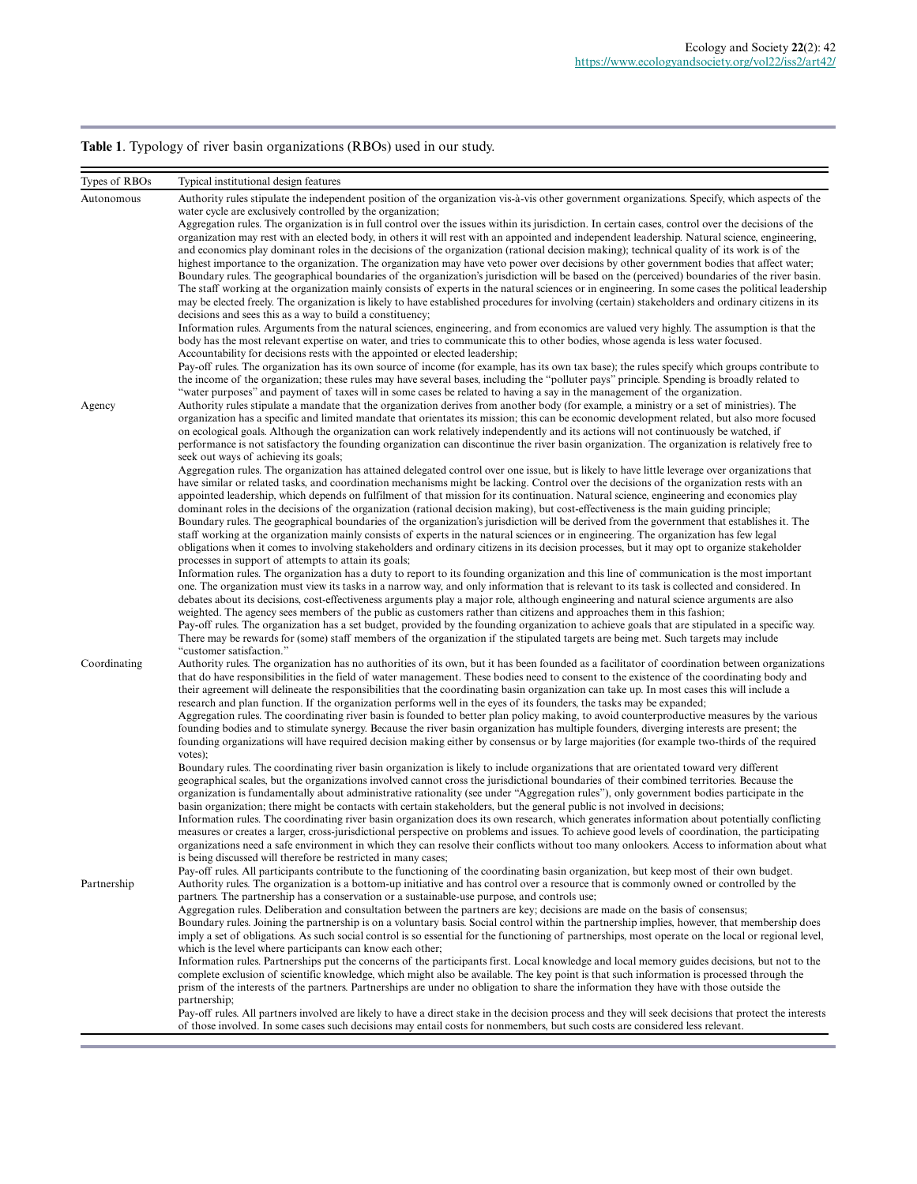# **Table 1**. Typology of river basin organizations (RBOs) used in our study.

| Types of RBOs | Typical institutional design features                                                                                                                                                                                                                                                                                                                                                                                                                                                                                                                                                                                                                                                                                                                                                                                                                                                                                                                                                                                                                                                                                                                                                                                                                                                                                                               |
|---------------|-----------------------------------------------------------------------------------------------------------------------------------------------------------------------------------------------------------------------------------------------------------------------------------------------------------------------------------------------------------------------------------------------------------------------------------------------------------------------------------------------------------------------------------------------------------------------------------------------------------------------------------------------------------------------------------------------------------------------------------------------------------------------------------------------------------------------------------------------------------------------------------------------------------------------------------------------------------------------------------------------------------------------------------------------------------------------------------------------------------------------------------------------------------------------------------------------------------------------------------------------------------------------------------------------------------------------------------------------------|
| Autonomous    | Authority rules stipulate the independent position of the organization vis-à-vis other government organizations. Specify, which aspects of the                                                                                                                                                                                                                                                                                                                                                                                                                                                                                                                                                                                                                                                                                                                                                                                                                                                                                                                                                                                                                                                                                                                                                                                                      |
|               | water cycle are exclusively controlled by the organization;<br>Aggregation rules. The organization is in full control over the issues within its jurisdiction. In certain cases, control over the decisions of the<br>organization may rest with an elected body, in others it will rest with an appointed and independent leadership. Natural science, engineering,<br>and economics play dominant roles in the decisions of the organization (rational decision making); technical quality of its work is of the<br>highest importance to the organization. The organization may have veto power over decisions by other government bodies that affect water;<br>Boundary rules. The geographical boundaries of the organization's jurisdiction will be based on the (perceived) boundaries of the river basin.<br>The staff working at the organization mainly consists of experts in the natural sciences or in engineering. In some cases the political leadership<br>may be elected freely. The organization is likely to have established procedures for involving (certain) stakeholders and ordinary citizens in its                                                                                                                                                                                                                       |
|               | decisions and sees this as a way to build a constituency;<br>Information rules. Arguments from the natural sciences, engineering, and from economics are valued very highly. The assumption is that the<br>body has the most relevant expertise on water, and tries to communicate this to other bodies, whose agenda is less water focused.<br>Accountability for decisions rests with the appointed or elected leadership;<br>Pay-off rules. The organization has its own source of income (for example, has its own tax base); the rules specify which groups contribute to                                                                                                                                                                                                                                                                                                                                                                                                                                                                                                                                                                                                                                                                                                                                                                      |
|               | the income of the organization; these rules may have several bases, including the "polluter pays" principle. Spending is broadly related to<br>"water purposes" and payment of taxes will in some cases be related to having a say in the management of the organization.                                                                                                                                                                                                                                                                                                                                                                                                                                                                                                                                                                                                                                                                                                                                                                                                                                                                                                                                                                                                                                                                           |
| Agency        | Authority rules stipulate a mandate that the organization derives from another body (for example, a ministry or a set of ministries). The<br>organization has a specific and limited mandate that orientates its mission; this can be economic development related, but also more focused<br>on ecological goals. Although the organization can work relatively independently and its actions will not continuously be watched, if<br>performance is not satisfactory the founding organization can discontinue the river basin organization. The organization is relatively free to<br>seek out ways of achieving its goals;                                                                                                                                                                                                                                                                                                                                                                                                                                                                                                                                                                                                                                                                                                                       |
|               | Aggregation rules. The organization has attained delegated control over one issue, but is likely to have little leverage over organizations that<br>have similar or related tasks, and coordination mechanisms might be lacking. Control over the decisions of the organization rests with an<br>appointed leadership, which depends on fulfilment of that mission for its continuation. Natural science, engineering and economics play<br>dominant roles in the decisions of the organization (rational decision making), but cost-effectiveness is the main guiding principle;<br>Boundary rules. The geographical boundaries of the organization's jurisdiction will be derived from the government that establishes it. The<br>staff working at the organization mainly consists of experts in the natural sciences or in engineering. The organization has few legal<br>obligations when it comes to involving stakeholders and ordinary citizens in its decision processes, but it may opt to organize stakeholder<br>processes in support of attempts to attain its goals;                                                                                                                                                                                                                                                                  |
|               | Information rules. The organization has a duty to report to its founding organization and this line of communication is the most important<br>one. The organization must view its tasks in a narrow way, and only information that is relevant to its task is collected and considered. In<br>debates about its decisions, cost-effectiveness arguments play a major role, although engineering and natural science arguments are also<br>weighted. The agency sees members of the public as customers rather than citizens and approaches them in this fashion;<br>Pay-off rules. The organization has a set budget, provided by the founding organization to achieve goals that are stipulated in a specific way.<br>There may be rewards for (some) staff members of the organization if the stipulated targets are being met. Such targets may include<br>"customer satisfaction."                                                                                                                                                                                                                                                                                                                                                                                                                                                              |
| Coordinating  | Authority rules. The organization has no authorities of its own, but it has been founded as a facilitator of coordination between organizations<br>that do have responsibilities in the field of water management. These bodies need to consent to the existence of the coordinating body and<br>their agreement will delineate the responsibilities that the coordinating basin organization can take up. In most cases this will include a<br>research and plan function. If the organization performs well in the eyes of its founders, the tasks may be expanded;<br>Aggregation rules. The coordinating river basin is founded to better plan policy making, to avoid counterproductive measures by the various<br>founding bodies and to stimulate synergy. Because the river basin organization has multiple founders, diverging interests are present; the<br>founding organizations will have required decision making either by consensus or by large majorities (for example two-thirds of the required<br>votes);                                                                                                                                                                                                                                                                                                                       |
|               | Boundary rules. The coordinating river basin organization is likely to include organizations that are orientated toward very different<br>geographical scales, but the organizations involved cannot cross the jurisdictional boundaries of their combined territories. Because the<br>organization is fundamentally about administrative rationality (see under "Aggregation rules"), only government bodies participate in the<br>basin organization; there might be contacts with certain stakeholders, but the general public is not involved in decisions;<br>Information rules. The coordinating river basin organization does its own research, which generates information about potentially conflicting<br>measures or creates a larger, cross-jurisdictional perspective on problems and issues. To achieve good levels of coordination, the participating<br>organizations need a safe environment in which they can resolve their conflicts without too many onlookers. Access to information about what<br>is being discussed will therefore be restricted in many cases;                                                                                                                                                                                                                                                              |
| Partnership   | Pay-off rules. All participants contribute to the functioning of the coordinating basin organization, but keep most of their own budget.<br>Authority rules. The organization is a bottom-up initiative and has control over a resource that is commonly owned or controlled by the<br>partners. The partnership has a conservation or a sustainable-use purpose, and controls use;<br>Aggregation rules. Deliberation and consultation between the partners are key; decisions are made on the basis of consensus;<br>Boundary rules. Joining the partnership is on a voluntary basis. Social control within the partnership implies, however, that membership does<br>imply a set of obligations. As such social control is so essential for the functioning of partnerships, most operate on the local or regional level,<br>which is the level where participants can know each other;<br>Information rules. Partnerships put the concerns of the participants first. Local knowledge and local memory guides decisions, but not to the<br>complete exclusion of scientific knowledge, which might also be available. The key point is that such information is processed through the<br>prism of the interests of the partners. Partnerships are under no obligation to share the information they have with those outside the<br>partnership; |
|               | Pay-off rules. All partners involved are likely to have a direct stake in the decision process and they will seek decisions that protect the interests<br>of those involved. In some cases such decisions may entail costs for nonmembers, but such costs are considered less relevant.                                                                                                                                                                                                                                                                                                                                                                                                                                                                                                                                                                                                                                                                                                                                                                                                                                                                                                                                                                                                                                                             |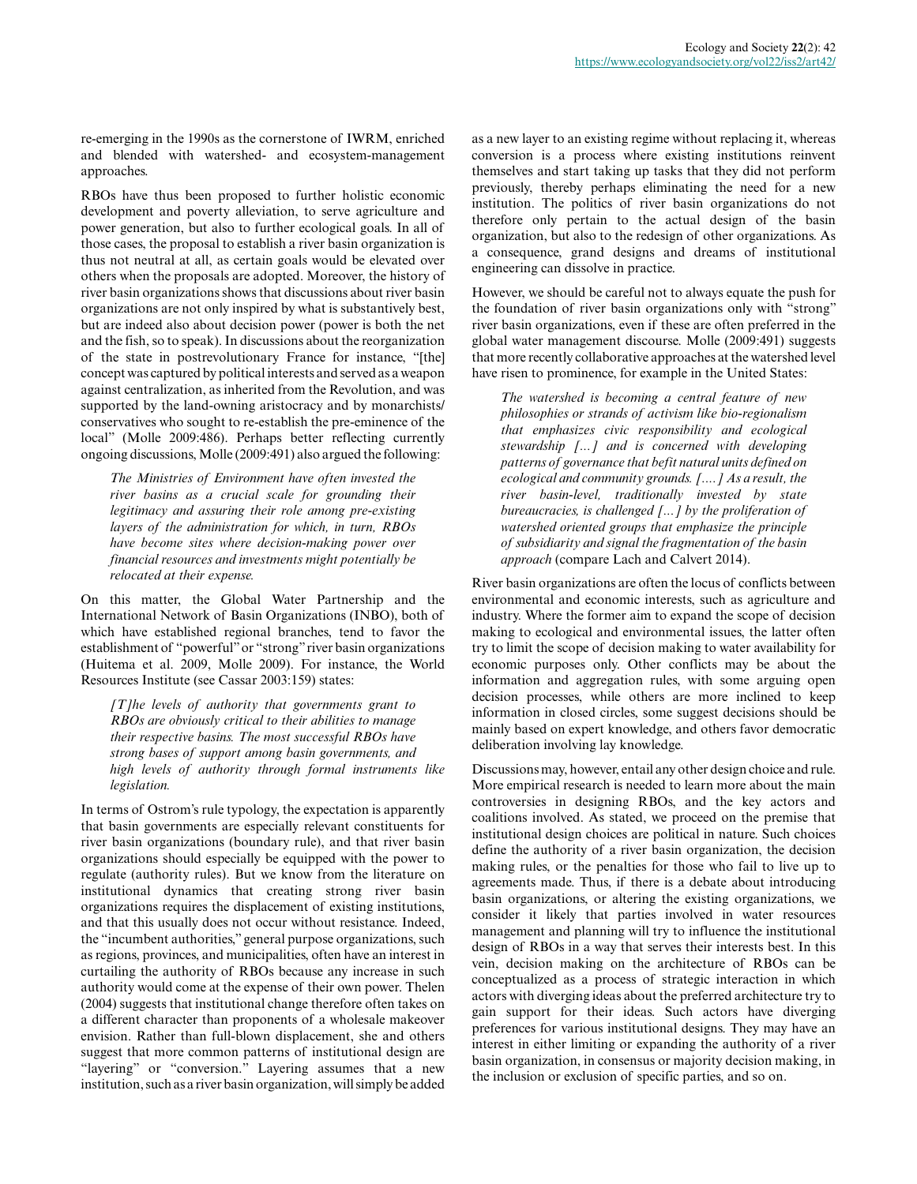re-emerging in the 1990s as the cornerstone of IWRM, enriched and blended with watershed- and ecosystem-management approaches.

RBOs have thus been proposed to further holistic economic development and poverty alleviation, to serve agriculture and power generation, but also to further ecological goals. In all of those cases, the proposal to establish a river basin organization is thus not neutral at all, as certain goals would be elevated over others when the proposals are adopted. Moreover, the history of river basin organizations shows that discussions about river basin organizations are not only inspired by what is substantively best, but are indeed also about decision power (power is both the net and the fish, so to speak). In discussions about the reorganization of the state in postrevolutionary France for instance, "[the] concept was captured by political interests and served as a weapon against centralization, as inherited from the Revolution, and was supported by the land-owning aristocracy and by monarchists/ conservatives who sought to re-establish the pre-eminence of the local" (Molle 2009:486). Perhaps better reflecting currently ongoing discussions, Molle (2009:491) also argued the following:

*The Ministries of Environment have often invested the river basins as a crucial scale for grounding their legitimacy and assuring their role among pre-existing layers of the administration for which, in turn, RBOs have become sites where decision-making power over financial resources and investments might potentially be relocated at their expense.*

On this matter, the Global Water Partnership and the International Network of Basin Organizations (INBO), both of which have established regional branches, tend to favor the establishment of "powerful" or "strong" river basin organizations (Huitema et al. 2009, Molle 2009). For instance, the World Resources Institute (see Cassar 2003:159) states:

*[T]he levels of authority that governments grant to RBOs are obviously critical to their abilities to manage their respective basins. The most successful RBOs have strong bases of support among basin governments, and high levels of authority through formal instruments like legislation.*

In terms of Ostrom's rule typology, the expectation is apparently that basin governments are especially relevant constituents for river basin organizations (boundary rule), and that river basin organizations should especially be equipped with the power to regulate (authority rules). But we know from the literature on institutional dynamics that creating strong river basin organizations requires the displacement of existing institutions, and that this usually does not occur without resistance. Indeed, the "incumbent authorities," general purpose organizations, such as regions, provinces, and municipalities, often have an interest in curtailing the authority of RBOs because any increase in such authority would come at the expense of their own power. Thelen (2004) suggests that institutional change therefore often takes on a different character than proponents of a wholesale makeover envision. Rather than full-blown displacement, she and others suggest that more common patterns of institutional design are "layering" or "conversion." Layering assumes that a new institution, such as a river basin organization, will simply be added

as a new layer to an existing regime without replacing it, whereas conversion is a process where existing institutions reinvent themselves and start taking up tasks that they did not perform previously, thereby perhaps eliminating the need for a new institution. The politics of river basin organizations do not therefore only pertain to the actual design of the basin organization, but also to the redesign of other organizations. As a consequence, grand designs and dreams of institutional engineering can dissolve in practice.

However, we should be careful not to always equate the push for the foundation of river basin organizations only with "strong" river basin organizations, even if these are often preferred in the global water management discourse. Molle (2009:491) suggests that more recently collaborative approaches at the watershed level have risen to prominence, for example in the United States:

*The watershed is becoming a central feature of new philosophies or strands of activism like bio-regionalism that emphasizes civic responsibility and ecological stewardship [...] and is concerned with developing patterns of governance that befit natural units defined on ecological and community grounds. [....] As a result, the river basin-level, traditionally invested by state bureaucracies, is challenged [...] by the proliferation of watershed oriented groups that emphasize the principle of subsidiarity and signal the fragmentation of the basin approach* (compare Lach and Calvert 2014).

River basin organizations are often the locus of conflicts between environmental and economic interests, such as agriculture and industry. Where the former aim to expand the scope of decision making to ecological and environmental issues, the latter often try to limit the scope of decision making to water availability for economic purposes only. Other conflicts may be about the information and aggregation rules, with some arguing open decision processes, while others are more inclined to keep information in closed circles, some suggest decisions should be mainly based on expert knowledge, and others favor democratic deliberation involving lay knowledge.

Discussions may, however, entail any other design choice and rule. More empirical research is needed to learn more about the main controversies in designing RBOs, and the key actors and coalitions involved. As stated, we proceed on the premise that institutional design choices are political in nature. Such choices define the authority of a river basin organization, the decision making rules, or the penalties for those who fail to live up to agreements made. Thus, if there is a debate about introducing basin organizations, or altering the existing organizations, we consider it likely that parties involved in water resources management and planning will try to influence the institutional design of RBOs in a way that serves their interests best. In this vein, decision making on the architecture of RBOs can be conceptualized as a process of strategic interaction in which actors with diverging ideas about the preferred architecture try to gain support for their ideas. Such actors have diverging preferences for various institutional designs. They may have an interest in either limiting or expanding the authority of a river basin organization, in consensus or majority decision making, in the inclusion or exclusion of specific parties, and so on.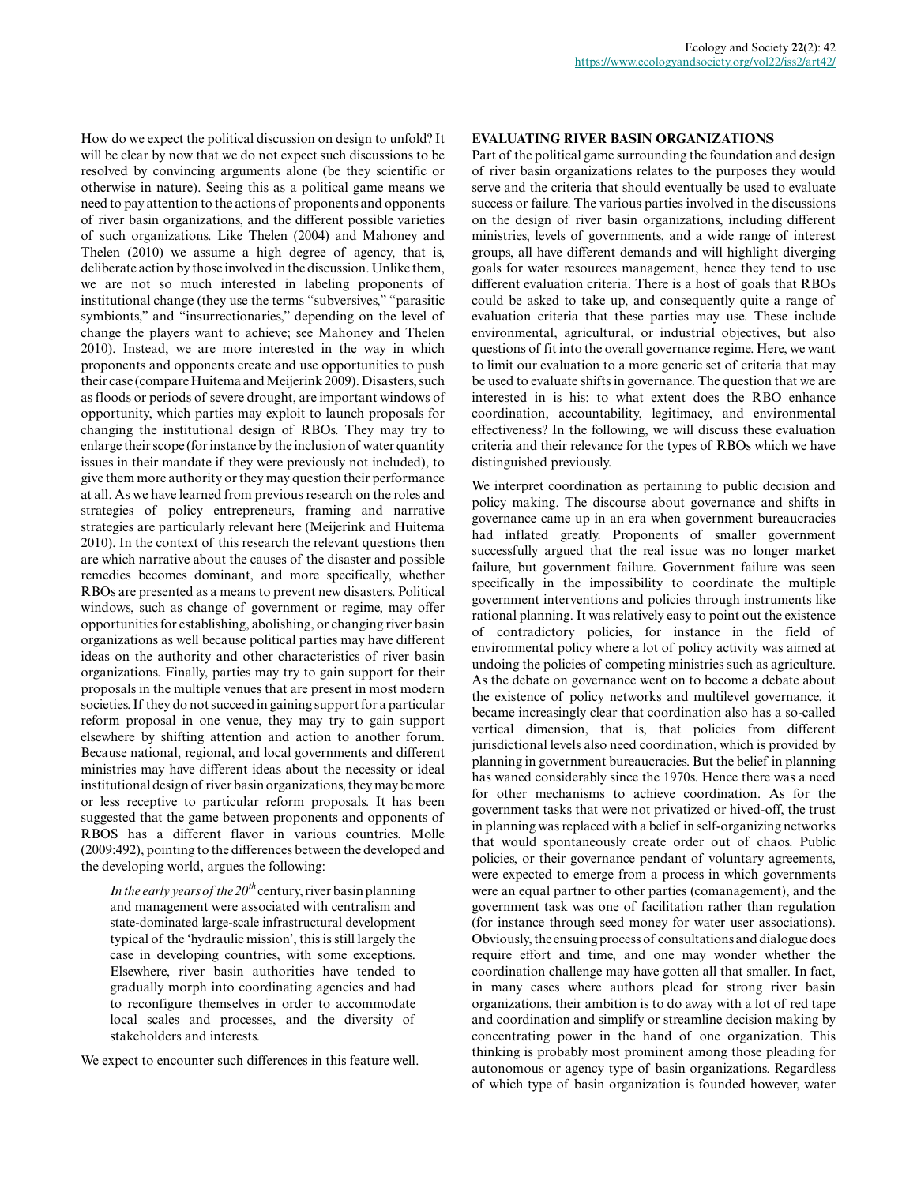How do we expect the political discussion on design to unfold? It will be clear by now that we do not expect such discussions to be resolved by convincing arguments alone (be they scientific or otherwise in nature). Seeing this as a political game means we need to pay attention to the actions of proponents and opponents of river basin organizations, and the different possible varieties of such organizations. Like Thelen (2004) and Mahoney and Thelen (2010) we assume a high degree of agency, that is, deliberate action by those involved in the discussion. Unlike them, we are not so much interested in labeling proponents of institutional change (they use the terms "subversives," "parasitic symbionts," and "insurrectionaries," depending on the level of change the players want to achieve; see Mahoney and Thelen 2010). Instead, we are more interested in the way in which proponents and opponents create and use opportunities to push their case (compare Huitema and Meijerink 2009). Disasters, such as floods or periods of severe drought, are important windows of opportunity, which parties may exploit to launch proposals for changing the institutional design of RBOs. They may try to enlarge their scope (for instance by the inclusion of water quantity issues in their mandate if they were previously not included), to give them more authority or they may question their performance at all. As we have learned from previous research on the roles and strategies of policy entrepreneurs, framing and narrative strategies are particularly relevant here (Meijerink and Huitema 2010). In the context of this research the relevant questions then are which narrative about the causes of the disaster and possible remedies becomes dominant, and more specifically, whether RBOs are presented as a means to prevent new disasters. Political windows, such as change of government or regime, may offer opportunities for establishing, abolishing, or changing river basin organizations as well because political parties may have different ideas on the authority and other characteristics of river basin organizations. Finally, parties may try to gain support for their proposals in the multiple venues that are present in most modern societies. If they do not succeed in gaining support for a particular reform proposal in one venue, they may try to gain support elsewhere by shifting attention and action to another forum. Because national, regional, and local governments and different ministries may have different ideas about the necessity or ideal institutional design of river basin organizations, they may be more or less receptive to particular reform proposals. It has been suggested that the game between proponents and opponents of RBOS has a different flavor in various countries. Molle (2009:492), pointing to the differences between the developed and the developing world, argues the following:

*In the early years of the 20th* century, river basin planning and management were associated with centralism and state-dominated large-scale infrastructural development typical of the 'hydraulic mission', this is still largely the case in developing countries, with some exceptions. Elsewhere, river basin authorities have tended to gradually morph into coordinating agencies and had to reconfigure themselves in order to accommodate local scales and processes, and the diversity of stakeholders and interests.

We expect to encounter such differences in this feature well.

# **EVALUATING RIVER BASIN ORGANIZATIONS**

Part of the political game surrounding the foundation and design of river basin organizations relates to the purposes they would serve and the criteria that should eventually be used to evaluate success or failure. The various parties involved in the discussions on the design of river basin organizations, including different ministries, levels of governments, and a wide range of interest groups, all have different demands and will highlight diverging goals for water resources management, hence they tend to use different evaluation criteria. There is a host of goals that RBOs could be asked to take up, and consequently quite a range of evaluation criteria that these parties may use. These include environmental, agricultural, or industrial objectives, but also questions of fit into the overall governance regime. Here, we want to limit our evaluation to a more generic set of criteria that may be used to evaluate shifts in governance. The question that we are interested in is his: to what extent does the RBO enhance coordination, accountability, legitimacy, and environmental effectiveness? In the following, we will discuss these evaluation criteria and their relevance for the types of RBOs which we have distinguished previously.

We interpret coordination as pertaining to public decision and policy making. The discourse about governance and shifts in governance came up in an era when government bureaucracies had inflated greatly. Proponents of smaller government successfully argued that the real issue was no longer market failure, but government failure. Government failure was seen specifically in the impossibility to coordinate the multiple government interventions and policies through instruments like rational planning. It was relatively easy to point out the existence of contradictory policies, for instance in the field of environmental policy where a lot of policy activity was aimed at undoing the policies of competing ministries such as agriculture. As the debate on governance went on to become a debate about the existence of policy networks and multilevel governance, it became increasingly clear that coordination also has a so-called vertical dimension, that is, that policies from different jurisdictional levels also need coordination, which is provided by planning in government bureaucracies. But the belief in planning has waned considerably since the 1970s. Hence there was a need for other mechanisms to achieve coordination. As for the government tasks that were not privatized or hived-off, the trust in planning was replaced with a belief in self-organizing networks that would spontaneously create order out of chaos. Public policies, or their governance pendant of voluntary agreements, were expected to emerge from a process in which governments were an equal partner to other parties (comanagement), and the government task was one of facilitation rather than regulation (for instance through seed money for water user associations). Obviously, the ensuing process of consultations and dialogue does require effort and time, and one may wonder whether the coordination challenge may have gotten all that smaller. In fact, in many cases where authors plead for strong river basin organizations, their ambition is to do away with a lot of red tape and coordination and simplify or streamline decision making by concentrating power in the hand of one organization. This thinking is probably most prominent among those pleading for autonomous or agency type of basin organizations. Regardless of which type of basin organization is founded however, water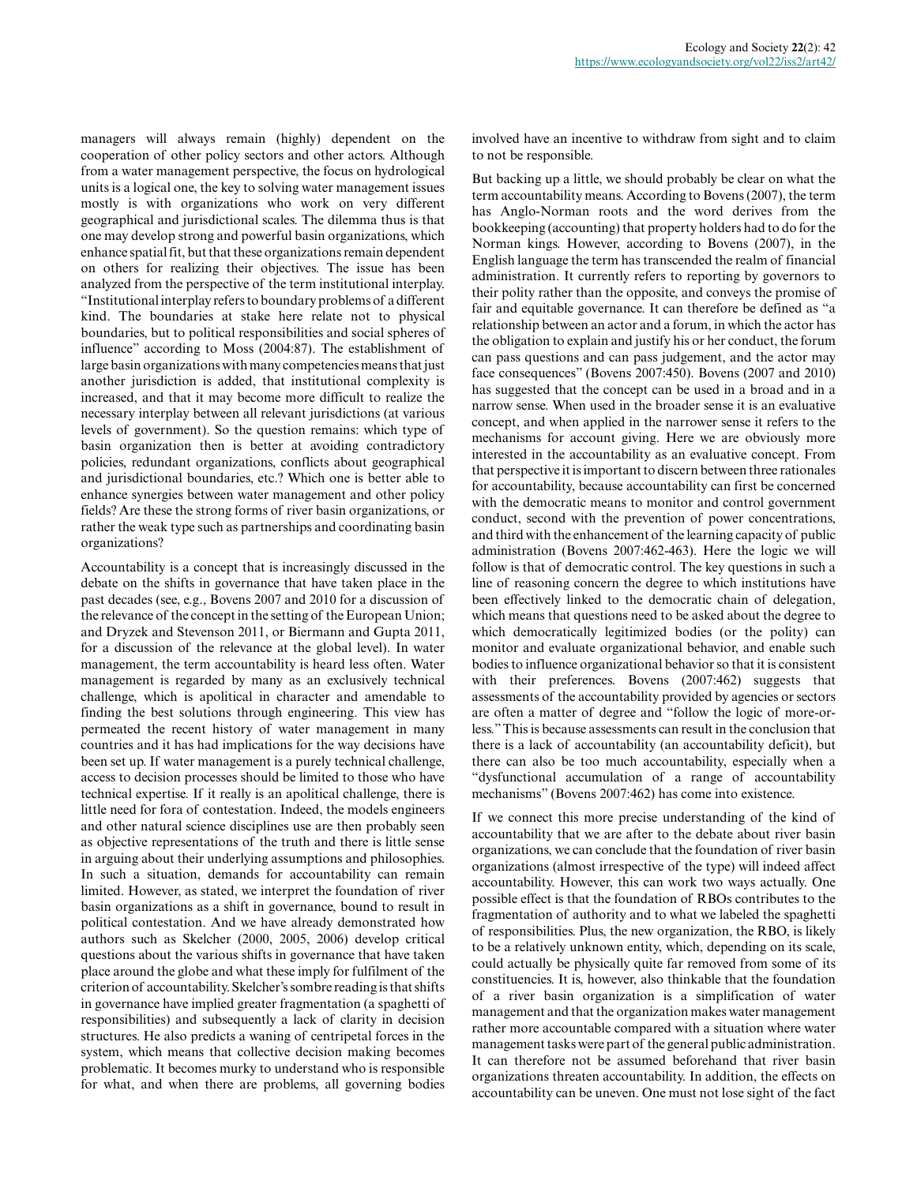managers will always remain (highly) dependent on the cooperation of other policy sectors and other actors. Although from a water management perspective, the focus on hydrological units is a logical one, the key to solving water management issues mostly is with organizations who work on very different geographical and jurisdictional scales. The dilemma thus is that one may develop strong and powerful basin organizations, which enhance spatial fit, but that these organizations remain dependent on others for realizing their objectives. The issue has been analyzed from the perspective of the term institutional interplay. "Institutional interplay refers to boundary problems of a different kind. The boundaries at stake here relate not to physical boundaries, but to political responsibilities and social spheres of influence" according to Moss (2004:87). The establishment of large basin organizations with many competencies means that just another jurisdiction is added, that institutional complexity is increased, and that it may become more difficult to realize the necessary interplay between all relevant jurisdictions (at various levels of government). So the question remains: which type of basin organization then is better at avoiding contradictory policies, redundant organizations, conflicts about geographical and jurisdictional boundaries, etc.? Which one is better able to enhance synergies between water management and other policy fields? Are these the strong forms of river basin organizations, or rather the weak type such as partnerships and coordinating basin organizations?

Accountability is a concept that is increasingly discussed in the debate on the shifts in governance that have taken place in the past decades (see, e.g., Bovens 2007 and 2010 for a discussion of the relevance of the concept in the setting of the European Union; and Dryzek and Stevenson 2011, or Biermann and Gupta 2011, for a discussion of the relevance at the global level). In water management, the term accountability is heard less often. Water management is regarded by many as an exclusively technical challenge, which is apolitical in character and amendable to finding the best solutions through engineering. This view has permeated the recent history of water management in many countries and it has had implications for the way decisions have been set up. If water management is a purely technical challenge, access to decision processes should be limited to those who have technical expertise. If it really is an apolitical challenge, there is little need for fora of contestation. Indeed, the models engineers and other natural science disciplines use are then probably seen as objective representations of the truth and there is little sense in arguing about their underlying assumptions and philosophies. In such a situation, demands for accountability can remain limited. However, as stated, we interpret the foundation of river basin organizations as a shift in governance, bound to result in political contestation. And we have already demonstrated how authors such as Skelcher (2000, 2005, 2006) develop critical questions about the various shifts in governance that have taken place around the globe and what these imply for fulfilment of the criterion of accountability. Skelcher's sombre reading is that shifts in governance have implied greater fragmentation (a spaghetti of responsibilities) and subsequently a lack of clarity in decision structures. He also predicts a waning of centripetal forces in the system, which means that collective decision making becomes problematic. It becomes murky to understand who is responsible for what, and when there are problems, all governing bodies

involved have an incentive to withdraw from sight and to claim to not be responsible.

But backing up a little, we should probably be clear on what the term accountability means. According to Bovens (2007), the term has Anglo-Norman roots and the word derives from the bookkeeping (accounting) that property holders had to do for the Norman kings. However, according to Bovens (2007), in the English language the term has transcended the realm of financial administration. It currently refers to reporting by governors to their polity rather than the opposite, and conveys the promise of fair and equitable governance. It can therefore be defined as "a relationship between an actor and a forum, in which the actor has the obligation to explain and justify his or her conduct, the forum can pass questions and can pass judgement, and the actor may face consequences" (Bovens 2007:450). Bovens (2007 and 2010) has suggested that the concept can be used in a broad and in a narrow sense. When used in the broader sense it is an evaluative concept, and when applied in the narrower sense it refers to the mechanisms for account giving. Here we are obviously more interested in the accountability as an evaluative concept. From that perspective it is important to discern between three rationales for accountability, because accountability can first be concerned with the democratic means to monitor and control government conduct, second with the prevention of power concentrations, and third with the enhancement of the learning capacity of public administration (Bovens 2007:462-463). Here the logic we will follow is that of democratic control. The key questions in such a line of reasoning concern the degree to which institutions have been effectively linked to the democratic chain of delegation, which means that questions need to be asked about the degree to which democratically legitimized bodies (or the polity) can monitor and evaluate organizational behavior, and enable such bodies to influence organizational behavior so that it is consistent with their preferences. Bovens (2007:462) suggests that assessments of the accountability provided by agencies or sectors are often a matter of degree and "follow the logic of more-orless." This is because assessments can result in the conclusion that there is a lack of accountability (an accountability deficit), but there can also be too much accountability, especially when a "dysfunctional accumulation of a range of accountability mechanisms" (Bovens 2007:462) has come into existence.

If we connect this more precise understanding of the kind of accountability that we are after to the debate about river basin organizations, we can conclude that the foundation of river basin organizations (almost irrespective of the type) will indeed affect accountability. However, this can work two ways actually. One possible effect is that the foundation of RBOs contributes to the fragmentation of authority and to what we labeled the spaghetti of responsibilities. Plus, the new organization, the RBO, is likely to be a relatively unknown entity, which, depending on its scale, could actually be physically quite far removed from some of its constituencies. It is, however, also thinkable that the foundation of a river basin organization is a simplification of water management and that the organization makes water management rather more accountable compared with a situation where water management tasks were part of the general public administration. It can therefore not be assumed beforehand that river basin organizations threaten accountability. In addition, the effects on accountability can be uneven. One must not lose sight of the fact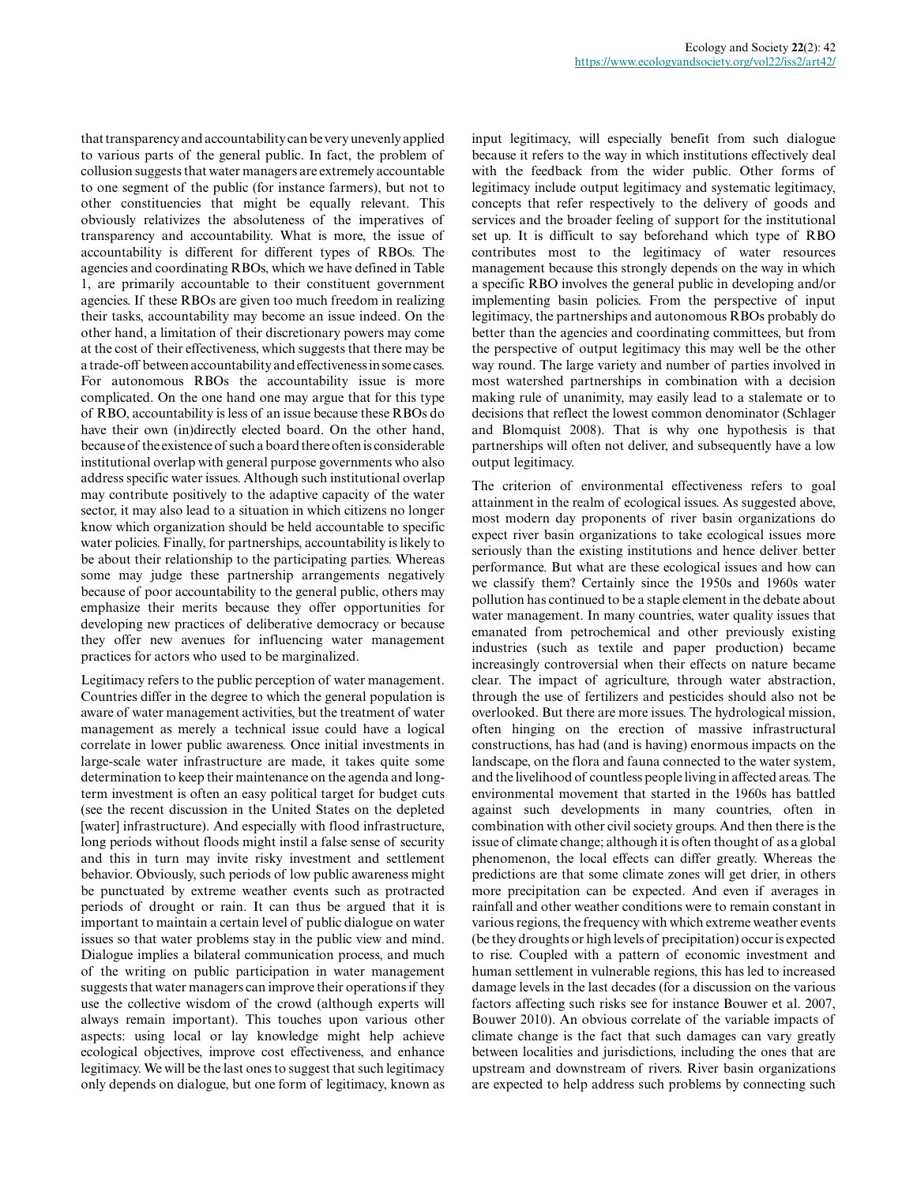that transparency and accountability can be very unevenly applied to various parts of the general public. In fact, the problem of collusion suggests that water managers are extremely accountable to one segment of the public (for instance farmers), but not to other constituencies that might be equally relevant. This obviously relativizes the absoluteness of the imperatives of transparency and accountability. What is more, the issue of accountability is different for different types of RBOs. The agencies and coordinating RBOs, which we have defined in Table 1, are primarily accountable to their constituent government agencies. If these RBOs are given too much freedom in realizing their tasks, accountability may become an issue indeed. On the other hand, a limitation of their discretionary powers may come at the cost of their effectiveness, which suggests that there may be a trade-off between accountability and effectiveness in some cases. For autonomous RBOs the accountability issue is more complicated. On the one hand one may argue that for this type of RBO, accountability is less of an issue because these RBOs do have their own (in)directly elected board. On the other hand, because of the existence of such a board there often is considerable institutional overlap with general purpose governments who also address specific water issues. Although such institutional overlap may contribute positively to the adaptive capacity of the water sector, it may also lead to a situation in which citizens no longer know which organization should be held accountable to specific water policies. Finally, for partnerships, accountability is likely to be about their relationship to the participating parties. Whereas some may judge these partnership arrangements negatively because of poor accountability to the general public, others may emphasize their merits because they offer opportunities for developing new practices of deliberative democracy or because they offer new avenues for influencing water management practices for actors who used to be marginalized.

Legitimacy refers to the public perception of water management. Countries differ in the degree to which the general population is aware of water management activities, but the treatment of water management as merely a technical issue could have a logical correlate in lower public awareness. Once initial investments in large-scale water infrastructure are made, it takes quite some determination to keep their maintenance on the agenda and longterm investment is often an easy political target for budget cuts (see the recent discussion in the United States on the depleted [water] infrastructure). And especially with flood infrastructure, long periods without floods might instil a false sense of security and this in turn may invite risky investment and settlement behavior. Obviously, such periods of low public awareness might be punctuated by extreme weather events such as protracted periods of drought or rain. It can thus be argued that it is important to maintain a certain level of public dialogue on water issues so that water problems stay in the public view and mind. Dialogue implies a bilateral communication process, and much of the writing on public participation in water management suggests that water managers can improve their operations if they use the collective wisdom of the crowd (although experts will always remain important). This touches upon various other aspects: using local or lay knowledge might help achieve ecological objectives, improve cost effectiveness, and enhance legitimacy. We will be the last ones to suggest that such legitimacy only depends on dialogue, but one form of legitimacy, known as

input legitimacy, will especially benefit from such dialogue because it refers to the way in which institutions effectively deal with the feedback from the wider public. Other forms of legitimacy include output legitimacy and systematic legitimacy, concepts that refer respectively to the delivery of goods and services and the broader feeling of support for the institutional set up. It is difficult to say beforehand which type of RBO contributes most to the legitimacy of water resources management because this strongly depends on the way in which a specific RBO involves the general public in developing and/or implementing basin policies. From the perspective of input legitimacy, the partnerships and autonomous RBOs probably do better than the agencies and coordinating committees, but from the perspective of output legitimacy this may well be the other way round. The large variety and number of parties involved in most watershed partnerships in combination with a decision making rule of unanimity, may easily lead to a stalemate or to decisions that reflect the lowest common denominator (Schlager and Blomquist 2008). That is why one hypothesis is that partnerships will often not deliver, and subsequently have a low output legitimacy.

The criterion of environmental effectiveness refers to goal attainment in the realm of ecological issues. As suggested above, most modern day proponents of river basin organizations do expect river basin organizations to take ecological issues more seriously than the existing institutions and hence deliver better performance. But what are these ecological issues and how can we classify them? Certainly since the 1950s and 1960s water pollution has continued to be a staple element in the debate about water management. In many countries, water quality issues that emanated from petrochemical and other previously existing industries (such as textile and paper production) became increasingly controversial when their effects on nature became clear. The impact of agriculture, through water abstraction, through the use of fertilizers and pesticides should also not be overlooked. But there are more issues. The hydrological mission, often hinging on the erection of massive infrastructural constructions, has had (and is having) enormous impacts on the landscape, on the flora and fauna connected to the water system, and the livelihood of countless people living in affected areas. The environmental movement that started in the 1960s has battled against such developments in many countries, often in combination with other civil society groups. And then there is the issue of climate change; although it is often thought of as a global phenomenon, the local effects can differ greatly. Whereas the predictions are that some climate zones will get drier, in others more precipitation can be expected. And even if averages in rainfall and other weather conditions were to remain constant in various regions, the frequency with which extreme weather events (be they droughts or high levels of precipitation) occur is expected to rise. Coupled with a pattern of economic investment and human settlement in vulnerable regions, this has led to increased damage levels in the last decades (for a discussion on the various factors affecting such risks see for instance Bouwer et al. 2007, Bouwer 2010). An obvious correlate of the variable impacts of climate change is the fact that such damages can vary greatly between localities and jurisdictions, including the ones that are upstream and downstream of rivers. River basin organizations are expected to help address such problems by connecting such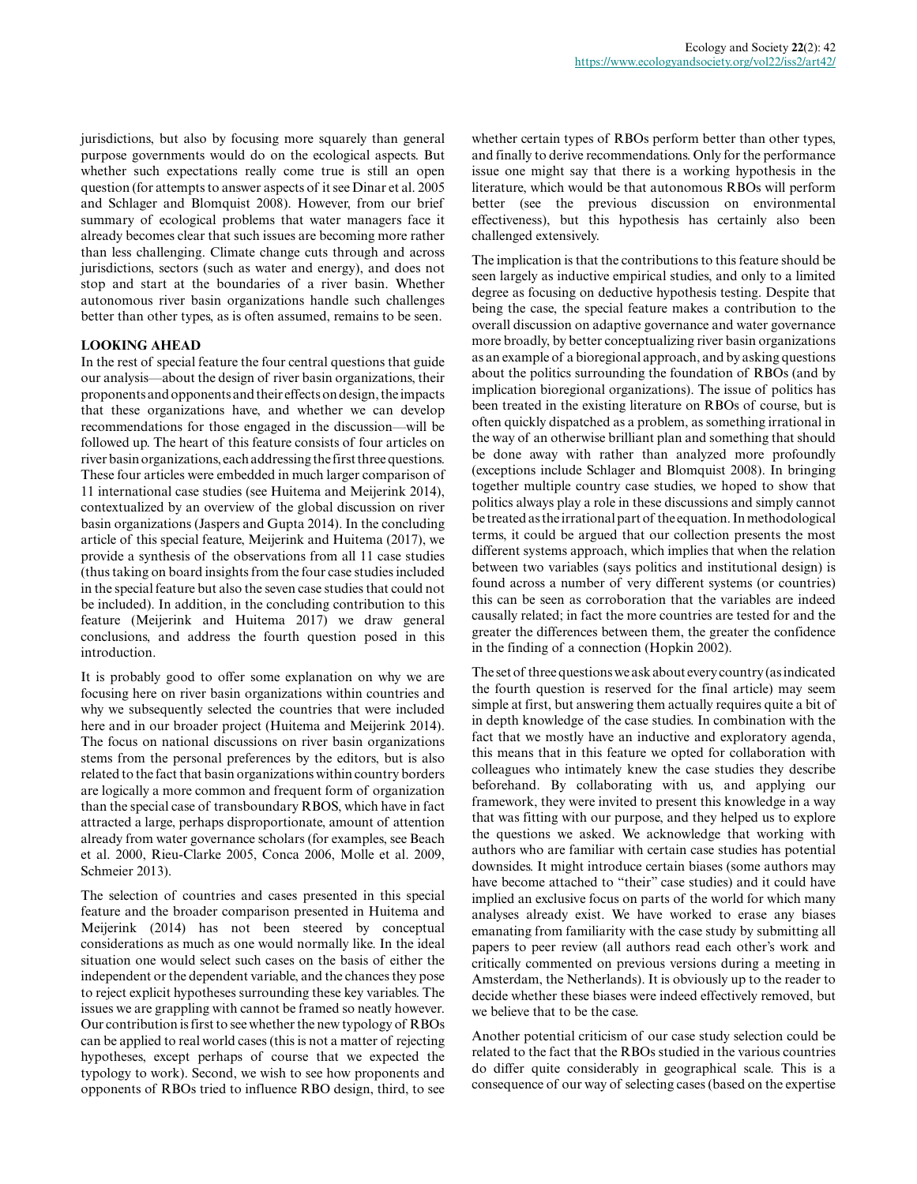jurisdictions, but also by focusing more squarely than general purpose governments would do on the ecological aspects. But whether such expectations really come true is still an open question (for attempts to answer aspects of it see Dinar et al. 2005 and Schlager and Blomquist 2008). However, from our brief summary of ecological problems that water managers face it already becomes clear that such issues are becoming more rather than less challenging. Climate change cuts through and across jurisdictions, sectors (such as water and energy), and does not stop and start at the boundaries of a river basin. Whether autonomous river basin organizations handle such challenges better than other types, as is often assumed, remains to be seen.

# **LOOKING AHEAD**

In the rest of special feature the four central questions that guide our analysis—about the design of river basin organizations, their proponents and opponents and their effects on design, the impacts that these organizations have, and whether we can develop recommendations for those engaged in the discussion—will be followed up. The heart of this feature consists of four articles on river basin organizations, each addressing the first three questions. These four articles were embedded in much larger comparison of 11 international case studies (see Huitema and Meijerink 2014), contextualized by an overview of the global discussion on river basin organizations (Jaspers and Gupta 2014). In the concluding article of this special feature, Meijerink and Huitema (2017), we provide a synthesis of the observations from all 11 case studies (thus taking on board insights from the four case studies included in the special feature but also the seven case studies that could not be included). In addition, in the concluding contribution to this feature (Meijerink and Huitema 2017) we draw general conclusions, and address the fourth question posed in this introduction.

It is probably good to offer some explanation on why we are focusing here on river basin organizations within countries and why we subsequently selected the countries that were included here and in our broader project (Huitema and Meijerink 2014). The focus on national discussions on river basin organizations stems from the personal preferences by the editors, but is also related to the fact that basin organizations within country borders are logically a more common and frequent form of organization than the special case of transboundary RBOS, which have in fact attracted a large, perhaps disproportionate, amount of attention already from water governance scholars (for examples, see Beach et al. 2000, Rieu-Clarke 2005, Conca 2006, Molle et al. 2009, Schmeier 2013).

The selection of countries and cases presented in this special feature and the broader comparison presented in Huitema and Meijerink (2014) has not been steered by conceptual considerations as much as one would normally like. In the ideal situation one would select such cases on the basis of either the independent or the dependent variable, and the chances they pose to reject explicit hypotheses surrounding these key variables. The issues we are grappling with cannot be framed so neatly however. Our contribution is first to see whether the new typology of RBOs can be applied to real world cases (this is not a matter of rejecting hypotheses, except perhaps of course that we expected the typology to work). Second, we wish to see how proponents and opponents of RBOs tried to influence RBO design, third, to see

whether certain types of RBOs perform better than other types, and finally to derive recommendations. Only for the performance issue one might say that there is a working hypothesis in the literature, which would be that autonomous RBOs will perform better (see the previous discussion on environmental effectiveness), but this hypothesis has certainly also been challenged extensively.

The implication is that the contributions to this feature should be seen largely as inductive empirical studies, and only to a limited degree as focusing on deductive hypothesis testing. Despite that being the case, the special feature makes a contribution to the overall discussion on adaptive governance and water governance more broadly, by better conceptualizing river basin organizations as an example of a bioregional approach, and by asking questions about the politics surrounding the foundation of RBOs (and by implication bioregional organizations). The issue of politics has been treated in the existing literature on RBOs of course, but is often quickly dispatched as a problem, as something irrational in the way of an otherwise brilliant plan and something that should be done away with rather than analyzed more profoundly (exceptions include Schlager and Blomquist 2008). In bringing together multiple country case studies, we hoped to show that politics always play a role in these discussions and simply cannot be treated as the irrational part of the equation. In methodological terms, it could be argued that our collection presents the most different systems approach, which implies that when the relation between two variables (says politics and institutional design) is found across a number of very different systems (or countries) this can be seen as corroboration that the variables are indeed causally related; in fact the more countries are tested for and the greater the differences between them, the greater the confidence in the finding of a connection (Hopkin 2002).

The set of three questions we ask about every country (as indicated the fourth question is reserved for the final article) may seem simple at first, but answering them actually requires quite a bit of in depth knowledge of the case studies. In combination with the fact that we mostly have an inductive and exploratory agenda, this means that in this feature we opted for collaboration with colleagues who intimately knew the case studies they describe beforehand. By collaborating with us, and applying our framework, they were invited to present this knowledge in a way that was fitting with our purpose, and they helped us to explore the questions we asked. We acknowledge that working with authors who are familiar with certain case studies has potential downsides. It might introduce certain biases (some authors may have become attached to "their" case studies) and it could have implied an exclusive focus on parts of the world for which many analyses already exist. We have worked to erase any biases emanating from familiarity with the case study by submitting all papers to peer review (all authors read each other's work and critically commented on previous versions during a meeting in Amsterdam, the Netherlands). It is obviously up to the reader to decide whether these biases were indeed effectively removed, but we believe that to be the case.

Another potential criticism of our case study selection could be related to the fact that the RBOs studied in the various countries do differ quite considerably in geographical scale. This is a consequence of our way of selecting cases (based on the expertise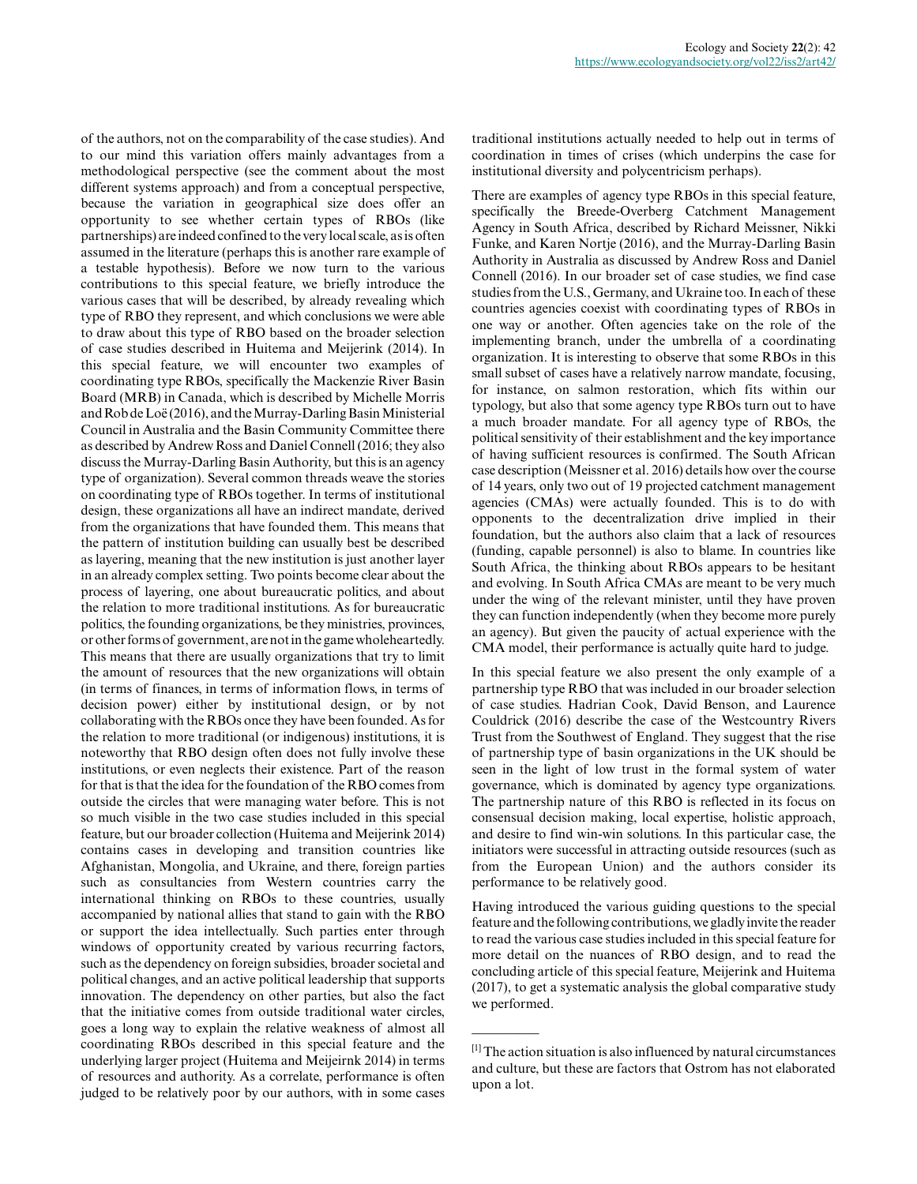of the authors, not on the comparability of the case studies). And to our mind this variation offers mainly advantages from a methodological perspective (see the comment about the most different systems approach) and from a conceptual perspective, because the variation in geographical size does offer an opportunity to see whether certain types of RBOs (like partnerships) are indeed confined to the very local scale, as is often assumed in the literature (perhaps this is another rare example of a testable hypothesis). Before we now turn to the various contributions to this special feature, we briefly introduce the various cases that will be described, by already revealing which type of RBO they represent, and which conclusions we were able to draw about this type of RBO based on the broader selection of case studies described in Huitema and Meijerink (2014). In this special feature, we will encounter two examples of coordinating type RBOs, specifically the Mackenzie River Basin Board (MRB) in Canada, which is described by Michelle Morris and Rob de Loë (2016), and the Murray-Darling Basin Ministerial Council in Australia and the Basin Community Committee there as described by Andrew Ross and Daniel Connell (2016; they also discuss the Murray-Darling Basin Authority, but this is an agency type of organization). Several common threads weave the stories on coordinating type of RBOs together. In terms of institutional design, these organizations all have an indirect mandate, derived from the organizations that have founded them. This means that the pattern of institution building can usually best be described as layering, meaning that the new institution is just another layer in an already complex setting. Two points become clear about the process of layering, one about bureaucratic politics, and about the relation to more traditional institutions. As for bureaucratic politics, the founding organizations, be they ministries, provinces, or other forms of government, are not in the game wholeheartedly. This means that there are usually organizations that try to limit the amount of resources that the new organizations will obtain (in terms of finances, in terms of information flows, in terms of decision power) either by institutional design, or by not collaborating with the RBOs once they have been founded. As for the relation to more traditional (or indigenous) institutions, it is noteworthy that RBO design often does not fully involve these institutions, or even neglects their existence. Part of the reason for that is that the idea for the foundation of the RBO comes from outside the circles that were managing water before. This is not so much visible in the two case studies included in this special feature, but our broader collection (Huitema and Meijerink 2014) contains cases in developing and transition countries like Afghanistan, Mongolia, and Ukraine, and there, foreign parties such as consultancies from Western countries carry the international thinking on RBOs to these countries, usually accompanied by national allies that stand to gain with the RBO or support the idea intellectually. Such parties enter through windows of opportunity created by various recurring factors, such as the dependency on foreign subsidies, broader societal and political changes, and an active political leadership that supports innovation. The dependency on other parties, but also the fact that the initiative comes from outside traditional water circles, goes a long way to explain the relative weakness of almost all coordinating RBOs described in this special feature and the underlying larger project (Huitema and Meijeirnk 2014) in terms of resources and authority. As a correlate, performance is often judged to be relatively poor by our authors, with in some cases

traditional institutions actually needed to help out in terms of coordination in times of crises (which underpins the case for institutional diversity and polycentricism perhaps).

There are examples of agency type RBOs in this special feature, specifically the Breede-Overberg Catchment Management Agency in South Africa, described by Richard Meissner, Nikki Funke, and Karen Nortje (2016), and the Murray-Darling Basin Authority in Australia as discussed by Andrew Ross and Daniel Connell (2016). In our broader set of case studies, we find case studies from the U.S., Germany, and Ukraine too. In each of these countries agencies coexist with coordinating types of RBOs in one way or another. Often agencies take on the role of the implementing branch, under the umbrella of a coordinating organization. It is interesting to observe that some RBOs in this small subset of cases have a relatively narrow mandate, focusing, for instance, on salmon restoration, which fits within our typology, but also that some agency type RBOs turn out to have a much broader mandate. For all agency type of RBOs, the political sensitivity of their establishment and the key importance of having sufficient resources is confirmed. The South African case description (Meissner et al. 2016) details how over the course of 14 years, only two out of 19 projected catchment management agencies (CMAs) were actually founded. This is to do with opponents to the decentralization drive implied in their foundation, but the authors also claim that a lack of resources (funding, capable personnel) is also to blame. In countries like South Africa, the thinking about RBOs appears to be hesitant and evolving. In South Africa CMAs are meant to be very much under the wing of the relevant minister, until they have proven they can function independently (when they become more purely an agency). But given the paucity of actual experience with the CMA model, their performance is actually quite hard to judge.

In this special feature we also present the only example of a partnership type RBO that was included in our broader selection of case studies. Hadrian Cook, David Benson, and Laurence Couldrick (2016) describe the case of the Westcountry Rivers Trust from the Southwest of England. They suggest that the rise of partnership type of basin organizations in the UK should be seen in the light of low trust in the formal system of water governance, which is dominated by agency type organizations. The partnership nature of this RBO is reflected in its focus on consensual decision making, local expertise, holistic approach, and desire to find win-win solutions. In this particular case, the initiators were successful in attracting outside resources (such as from the European Union) and the authors consider its performance to be relatively good.

Having introduced the various guiding questions to the special feature and the following contributions, we gladly invite the reader to read the various case studies included in this special feature for more detail on the nuances of RBO design, and to read the concluding article of this special feature, Meijerink and Huitema (2017), to get a systematic analysis the global comparative study we performed.

 $\overline{\phantom{a}}$ 

<sup>[1]</sup> The action situation is also influenced by natural circumstances and culture, but these are factors that Ostrom has not elaborated upon a lot.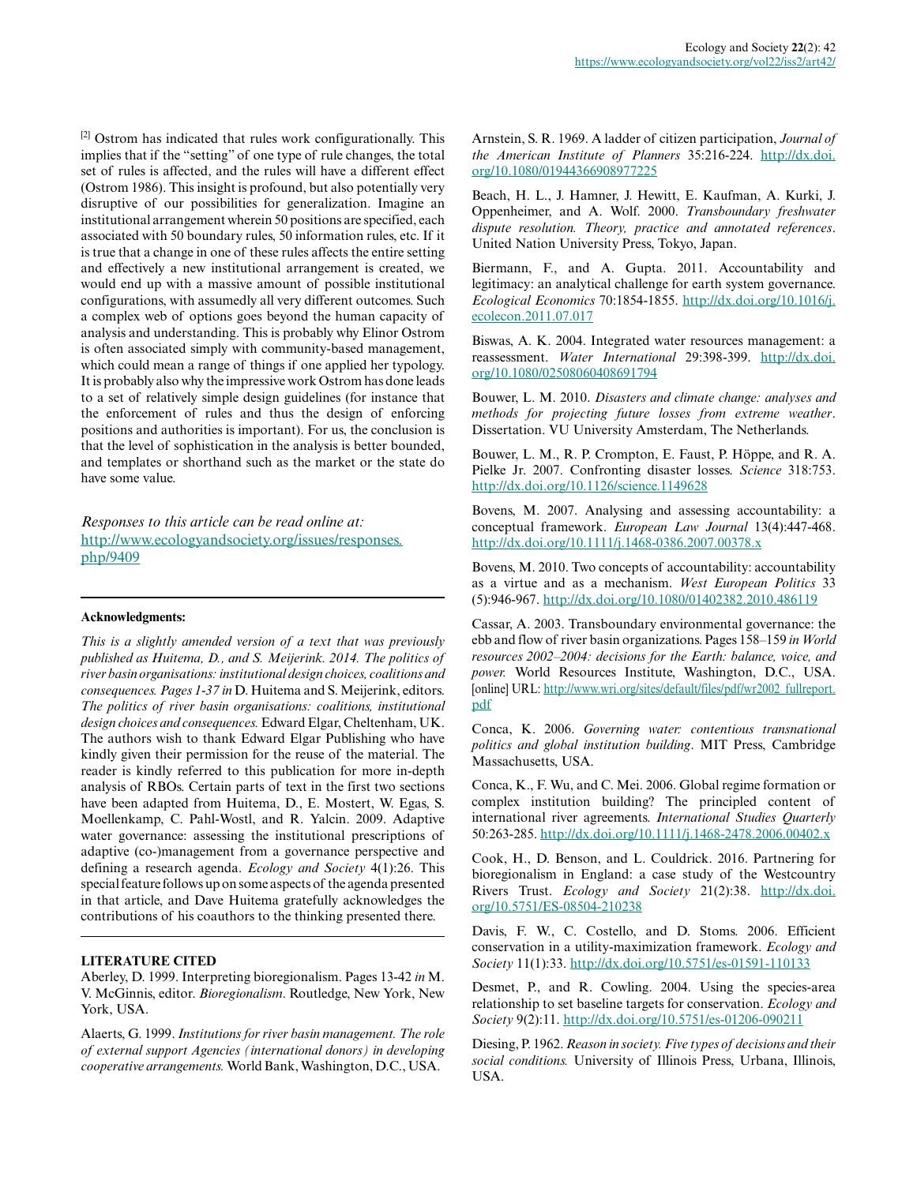[2] Ostrom has indicated that rules work configurationally. This implies that if the "setting" of one type of rule changes, the total set of rules is affected, and the rules will have a different effect (Ostrom 1986). This insight is profound, but also potentially very disruptive of our possibilities for generalization. Imagine an institutional arrangement wherein 50 positions are specified, each associated with 50 boundary rules, 50 information rules, etc. If it is true that a change in one of these rules affects the entire setting and effectively a new institutional arrangement is created, we would end up with a massive amount of possible institutional configurations, with assumedly all very different outcomes. Such a complex web of options goes beyond the human capacity of analysis and understanding. This is probably why Elinor Ostrom is often associated simply with community-based management, which could mean a range of things if one applied her typology. It is probably also why the impressive work Ostrom has done leads to a set of relatively simple design guidelines (for instance that the enforcement of rules and thus the design of enforcing positions and authorities is important). For us, the conclusion is that the level of sophistication in the analysis is better bounded, and templates or shorthand such as the market or the state do have some value.

*Responses to this article can be read online at:* [http://www.ecologyandsociety.org/issues/responses.](http://www.ecologyandsociety.org/issues/responses.php/9409) [php/9409](http://www.ecologyandsociety.org/issues/responses.php/9409)

#### **Acknowledgments:**

*This is a slightly amended version of a text that was previously published as Huitema, D., and S. Meijerink. 2014. The politics of river basin organisations: institutional design choices, coalitions and consequences. Pages 1-37 in* D. Huitema and S. Meijerink, editors. *The politics of river basin organisations: coalitions, institutional design choices and consequences.* Edward Elgar, Cheltenham, UK. The authors wish to thank Edward Elgar Publishing who have kindly given their permission for the reuse of the material. The reader is kindly referred to this publication for more in-depth analysis of RBOs. Certain parts of text in the first two sections have been adapted from Huitema, D., E. Mostert, W. Egas, S. Moellenkamp, C. Pahl-Wostl, and R. Yalcin. 2009. Adaptive water governance: assessing the institutional prescriptions of adaptive (co-)management from a governance perspective and defining a research agenda. *Ecology and Society* 4(1):26. This special feature follows up on some aspects of the agenda presented in that article, and Dave Huitema gratefully acknowledges the contributions of his coauthors to the thinking presented there.

### **LITERATURE CITED**

Aberley, D. 1999. Interpreting bioregionalism. Pages 13-42 *in* M. V. McGinnis, editor. *Bioregionalism*. Routledge, New York, New York, USA.

Alaerts, G. 1999. *Institutions for river basin management. The role of external support Agencies (international donors) in developing cooperative arrangements.* World Bank, Washington, D.C., USA.

Arnstein, S. R. 1969. A ladder of citizen participation, *Journal of the American Institute of Planners* 35:216-224. [http://dx.doi.](http://dx.doi.org/10.1080%2F01944366908977225) [org/10.1080/01944366908977225](http://dx.doi.org/10.1080%2F01944366908977225) 

Beach, H. L., J. Hamner, J. Hewitt, E. Kaufman, A. Kurki, J. Oppenheimer, and A. Wolf. 2000. *Transboundary freshwater dispute resolution. Theory, practice and annotated references*. United Nation University Press, Tokyo, Japan.

Biermann, F., and A. Gupta. 2011. Accountability and legitimacy: an analytical challenge for earth system governance. *Ecological Economics* 70:1854-1855. [http://dx.doi.org/10.1016/j.](http://dx.doi.org/10.1016%2Fj.ecolecon.2011.07.017) [ecolecon.2011.07.017](http://dx.doi.org/10.1016%2Fj.ecolecon.2011.07.017) 

Biswas, A. K. 2004. Integrated water resources management: a reassessment. *Water International* 29:398-399. [http://dx.doi.](http://dx.doi.org/10.1080%2F02508060408691794) [org/10.1080/02508060408691794](http://dx.doi.org/10.1080%2F02508060408691794) 

Bouwer, L. M. 2010. *Disasters and climate change: analyses and methods for projecting future losses from extreme weather*. Dissertation. VU University Amsterdam, The Netherlands.

Bouwer, L. M., R. P. Crompton, E. Faust, P. Höppe, and R. A. Pielke Jr. 2007. Confronting disaster losses. *Science* 318:753. [http://dx.doi.org/10.1126/science.1149628](http://dx.doi.org/10.1126%2Fscience.1149628)

Bovens, M. 2007. Analysing and assessing accountability: a conceptual framework. *European Law Journal* 13(4):447-468. [http://dx.doi.org/10.1111/j.1468-0386.2007.00378.x](http://dx.doi.org/10.1111%2Fj.1468-0386.2007.00378.x) 

Bovens, M. 2010. Two concepts of accountability: accountability as a virtue and as a mechanism. *West European Politics* 33 (5):946-967. [http://dx.doi.org/10.1080/01402382.2010.486119](http://dx.doi.org/10.1080%2F01402382.2010.486119) 

Cassar, A. 2003. Transboundary environmental governance: the ebb and flow of river basin organizations. Pages 158–159 *in World resources 2002–2004: decisions for the Earth: balance, voice, and power.* World Resources Institute, Washington, D.C., USA. [online] URL: [http://www.wri.org/sites/default/files/pdf/wr2002\\_fullreport.](http://www.wri.org/sites/default/files/pdf/wr2002_fullreport.pdf) [pdf](http://www.wri.org/sites/default/files/pdf/wr2002_fullreport.pdf)

Conca, K. 2006. *Governing water: contentious transnational politics and global institution building*. MIT Press, Cambridge Massachusetts, USA.

Conca, K., F. Wu, and C. Mei. 2006. Global regime formation or complex institution building? The principled content of international river agreements. *International Studies Quarterly* 50:263-285. [http://dx.doi.org/10.1111/j.1468-2478.2006.00402.x](http://dx.doi.org/10.1111%2Fj.1468-2478.2006.00402.x)

Cook, H., D. Benson, and L. Couldrick. 2016. Partnering for bioregionalism in England: a case study of the Westcountry Rivers Trust. *Ecology and Society* 21(2):38. [http://dx.doi.](http://dx.doi.org/10.5751%2FES-08504-210238) [org/10.5751/ES-08504-210238](http://dx.doi.org/10.5751%2FES-08504-210238) 

Davis, F. W., C. Costello, and D. Stoms. 2006. Efficient conservation in a utility-maximization framework. *Ecology and Society* 11(1):33. [http://dx.doi.org/10.5751/es-01591-110133](http://dx.doi.org/10.5751%2Fes-01591-110133) 

Desmet, P., and R. Cowling. 2004. Using the species-area relationship to set baseline targets for conservation. *Ecology and Society* 9(2):11.<http://dx.doi.org/10.5751/es-01206-090211>

Diesing, P. 1962. *Reason in society. Five types of decisions and their social conditions.* University of Illinois Press, Urbana, Illinois, USA.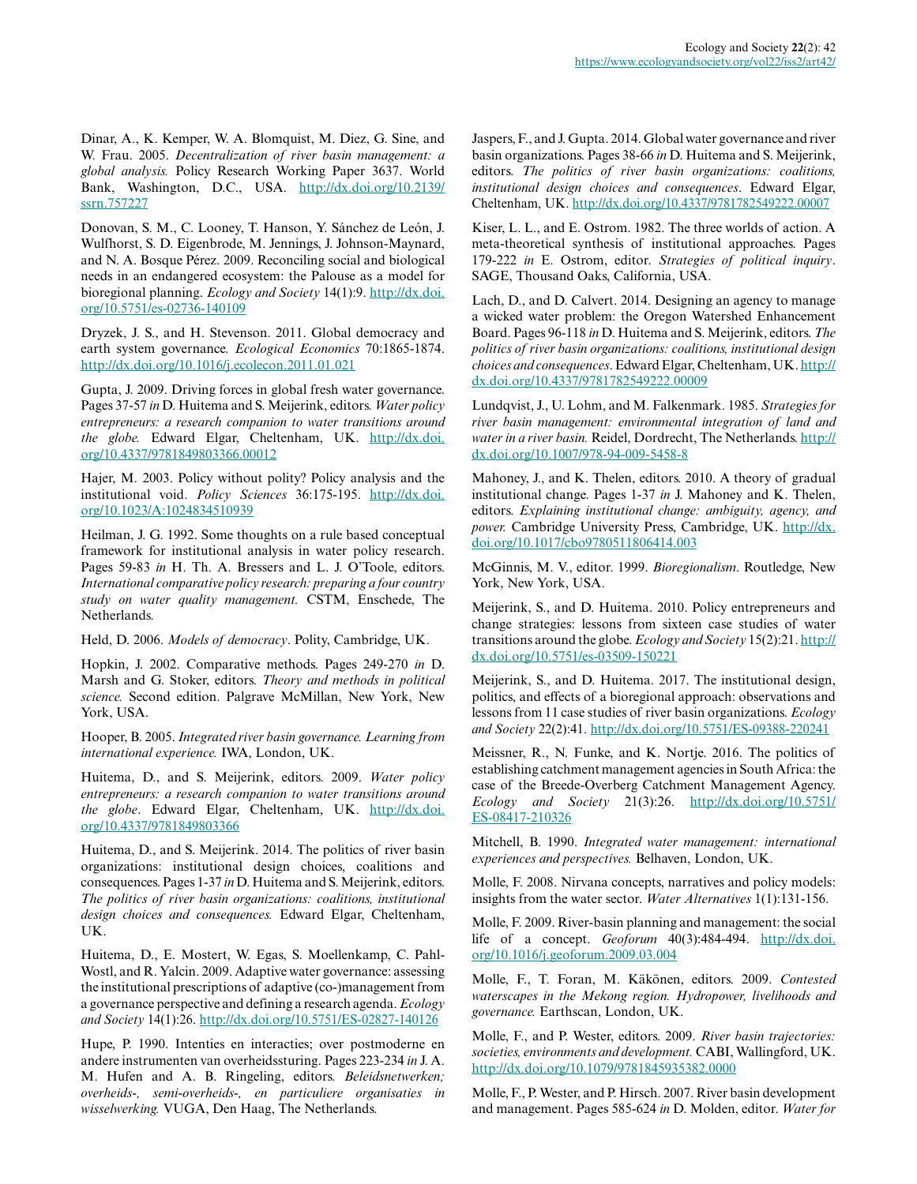Dinar, A., K. Kemper, W. A. Blomquist, M. Diez, G. Sine, and W. Frau. 2005. *Decentralization of river basin management: a global analysis.* Policy Research Working Paper 3637. World Bank, Washington, D.C., USA. [http://dx.doi.org/10.2139/](http://dx.doi.org/10.2139%2Fssrn.757227) [ssrn.757227](http://dx.doi.org/10.2139%2Fssrn.757227) 

Donovan, S. M., C. Looney, T. Hanson, Y. Sánchez de León, J. Wulfhorst, S. D. Eigenbrode, M. Jennings, J. Johnson-Maynard, and N. A. Bosque Pérez. 2009. Reconciling social and biological needs in an endangered ecosystem: the Palouse as a model for bioregional planning. *Ecology and Society* 14(1):9. [http://dx.doi.](http://dx.doi.org/10.5751%2Fes-02736-140109) [org/10.5751/es-02736-140109](http://dx.doi.org/10.5751%2Fes-02736-140109)

Dryzek, J. S., and H. Stevenson. 2011. Global democracy and earth system governance. *Ecological Economics* 70:1865-1874. [http://dx.doi.org/10.1016/j.ecolecon.2011.01.021](http://dx.doi.org/10.1016%2Fj.ecolecon.2011.01.021)

Gupta, J. 2009. Driving forces in global fresh water governance. Pages 37-57 *in* D. Huitema and S. Meijerink, editors. *Water policy entrepreneurs: a research companion to water transitions around the globe.* Edward Elgar, Cheltenham, UK. [http://dx.doi.](http://dx.doi.org/10.4337%2F9781849803366.00012) [org/10.4337/9781849803366.00012](http://dx.doi.org/10.4337%2F9781849803366.00012) 

Hajer, M. 2003. Policy without polity? Policy analysis and the institutional void. *Policy Sciences* 36:175-195. [http://dx.doi.](http://dx.doi.org/10.1023%2FA%3A1024834510939) [org/10.1023/A:1024834510939](http://dx.doi.org/10.1023%2FA%3A1024834510939)

Heilman, J. G. 1992. Some thoughts on a rule based conceptual framework for institutional analysis in water policy research. Pages 59-83 *in* H. Th. A. Bressers and L. J. O'Toole, editors. *International comparative policy research: preparing a four country study on water quality management.* CSTM, Enschede, The Netherlands.

Held, D. 2006. *Models of democracy*. Polity, Cambridge, UK.

Hopkin, J. 2002. Comparative methods. Pages 249-270 *in* D. Marsh and G. Stoker, editors. *Theory and methods in political science.* Second edition. Palgrave McMillan, New York, New York, USA.

Hooper, B. 2005. *Integrated river basin governance. Learning from international experience.* IWA, London, UK.

Huitema, D., and S. Meijerink, editors. 2009. *Water policy entrepreneurs: a research companion to water transitions around the globe*. Edward Elgar, Cheltenham, UK. [http://dx.doi.](http://dx.doi.org/10.4337%2F9781849803366) [org/10.4337/9781849803366](http://dx.doi.org/10.4337%2F9781849803366) 

Huitema, D., and S. Meijerink. 2014. The politics of river basin organizations: institutional design choices, coalitions and consequences. Pages 1-37 *in* D. Huitema and S. Meijerink, editors. *The politics of river basin organizations: coalitions, institutional design choices and consequences.* Edward Elgar, Cheltenham, UK.

Huitema, D., E. Mostert, W. Egas, S. Moellenkamp, C. Pahl-Wostl, and R. Yalcin. 2009. Adaptive water governance: assessing the institutional prescriptions of adaptive (co-)management from a governance perspective and defining a research agenda. *Ecology and Society* 14(1):26. [http://dx.doi.org/10.5751/ES-02827-140126](http://dx.doi.org/10.5751%2FES-02827-140126) 

Hupe, P. 1990. Intenties en interacties; over postmoderne en andere instrumenten van overheidssturing. Pages 223-234 *in* J. A. M. Hufen and A. B. Ringeling, editors. *Beleidsnetwerken; overheids-, semi-overheids-, en particuliere organisaties in wisselwerking.* VUGA, Den Haag, The Netherlands.

Jaspers, F., and J. Gupta. 2014. Global water governance and river basin organizations. Pages 38-66 *in* D. Huitema and S. Meijerink, editors. *The politics of river basin organizations: coalitions, institutional design choices and consequences*. Edward Elgar, Cheltenham, UK. [http://dx.doi.org/10.4337/9781782549222.00007](http://dx.doi.org/10.4337%2F9781782549222.00007) 

Kiser, L. L., and E. Ostrom. 1982. The three worlds of action. A meta-theoretical synthesis of institutional approaches. Pages 179-222 *in* E. Ostrom, editor. *Strategies of political inquiry*. SAGE, Thousand Oaks, California, USA.

Lach, D., and D. Calvert. 2014. Designing an agency to manage a wicked water problem: the Oregon Watershed Enhancement Board. Pages 96-118 *in* D. Huitema and S. Meijerink, editors. *The politics of river basin organizations: coalitions, institutional design choices and consequences*. Edward Elgar, Cheltenham, UK. [http://](http://dx.doi.org/10.4337%2F9781782549222.00009) [dx.doi.org/10.4337/9781782549222.00009](http://dx.doi.org/10.4337%2F9781782549222.00009)

Lundqvist, J., U. Lohm, and M. Falkenmark. 1985. *Strategies for river basin management: environmental integration of land and water in a river basin.* Reidel, Dordrecht, The Netherlands. [http://](http://dx.doi.org/10.1007%2F978-94-009-5458-8) [dx.doi.org/10.1007/978-94-009-5458-8](http://dx.doi.org/10.1007%2F978-94-009-5458-8)

Mahoney, J., and K. Thelen, editors. 2010. A theory of gradual institutional change. Pages 1-37 *in* J. Mahoney and K. Thelen, editors. *Explaining institutional change: ambiguity, agency, and power.* Cambridge University Press, Cambridge, UK. [http://dx.](http://dx.doi.org/10.1017%2Fcbo9780511806414.003) [doi.org/10.1017/cbo9780511806414.003](http://dx.doi.org/10.1017%2Fcbo9780511806414.003)

McGinnis, M. V., editor. 1999. *Bioregionalism*. Routledge, New York, New York, USA.

Meijerink, S., and D. Huitema. 2010. Policy entrepreneurs and change strategies: lessons from sixteen case studies of water transitions around the globe. *Ecology and Society* 15(2):21. [http://](http://dx.doi.org/10.5751%2Fes-03509-150221) [dx.doi.org/10.5751/es-03509-150221](http://dx.doi.org/10.5751%2Fes-03509-150221) 

Meijerink, S., and D. Huitema. 2017. The institutional design, politics, and effects of a bioregional approach: observations and lessons from 11 case studies of river basin organizations. *Ecology and Society* 22(2):41.<http://dx.doi.org/10.5751/ES-09388-220241>

Meissner, R., N. Funke, and K. Nortje. 2016. The politics of establishing catchment management agencies in South Africa: the case of the Breede-Overberg Catchment Management Agency. *Ecology and Society* 21(3):26. [http://dx.doi.org/10.5751/](http://dx.doi.org/10.5751%2FES-08417-210326) [ES-08417-210326](http://dx.doi.org/10.5751%2FES-08417-210326)

Mitchell, B. 1990. *Integrated water management: international experiences and perspectives.* Belhaven, London, UK.

Molle, F. 2008. Nirvana concepts, narratives and policy models: insights from the water sector. *Water Alternatives* 1(1):131-156.

Molle, F. 2009. River-basin planning and management: the social life of a concept. *Geoforum* 40(3):484-494. [http://dx.doi.](http://dx.doi.org/10.1016%2Fj.geoforum.2009.03.004) [org/10.1016/j.geoforum.2009.03.004](http://dx.doi.org/10.1016%2Fj.geoforum.2009.03.004) 

Molle, F., T. Foran, M. Käkönen, editors. 2009. *Contested waterscapes in the Mekong region. Hydropower, livelihoods and governance.* Earthscan, London, UK.

Molle, F., and P. Wester, editors. 2009. *River basin trajectories: societies, environments and development.* CABI, Wallingford, UK. [http://dx.doi.org/10.1079/9781845935382.0000](http://dx.doi.org/10.1079%2F9781845935382.0000)

Molle, F., P. Wester, and P. Hirsch. 2007. River basin development and management. Pages 585-624 *in* D. Molden, editor. *Water for*